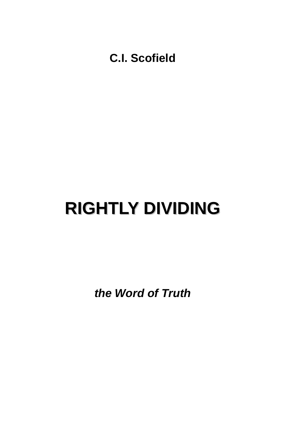**C.I. Scofield** 

# **RIGHTLY DIVIDING**

*the Word of Truth*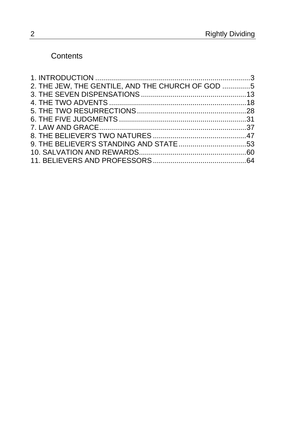### **Contents**

| 2. THE JEW, THE GENTILE, AND THE CHURCH OF GOD 5 |  |
|--------------------------------------------------|--|
|                                                  |  |
|                                                  |  |
|                                                  |  |
|                                                  |  |
|                                                  |  |
|                                                  |  |
|                                                  |  |
|                                                  |  |
|                                                  |  |
|                                                  |  |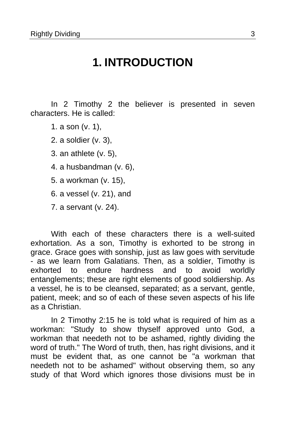### **1. INTRODUCTION**

<span id="page-2-0"></span>In 2 Timothy 2 the believer is presented in seven characters. He is called:

- 1. a son (v. 1),
- 2. a soldier (v. 3),
- 3. an athlete (v. 5),
- 4. a husbandman (v. 6),
- 5. a workman (v. 15),
- 6. a vessel (v. 21), and
- 7. a servant (v. 24).

With each of these characters there is a well-suited exhortation. As a son, Timothy is exhorted to be strong in grace. Grace goes with sonship, just as law goes with servitude - as we learn from Galatians. Then, as a soldier, Timothy is exhorted to endure hardness and to avoid worldly entanglements; these are right elements of good soldiership. As a vessel, he is to be cleansed, separated; as a servant, gentle, patient, meek; and so of each of these seven aspects of his life as a Christian.

In 2 Timothy 2:15 he is told what is required of him as a workman: "Study to show thyself approved unto God, a workman that needeth not to be ashamed, rightly dividing the word of truth." The Word of truth, then, has right divisions, and it must be evident that, as one cannot be "a workman that needeth not to be ashamed" without observing them, so any study of that Word which ignores those divisions must be in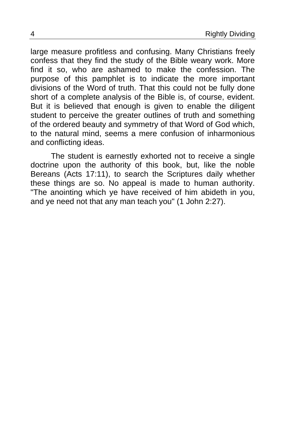large measure profitless and confusing. Many Christians freely confess that they find the study of the Bible weary work. More find it so, who are ashamed to make the confession. The purpose of this pamphlet is to indicate the more important divisions of the Word of truth. That this could not be fully done short of a complete analysis of the Bible is, of course, evident. But it is believed that enough is given to enable the diligent student to perceive the greater outlines of truth and something of the ordered beauty and symmetry of that Word of God which, to the natural mind, seems a mere confusion of inharmonious and conflicting ideas.

The student is earnestly exhorted not to receive a single doctrine upon the authority of this book, but, like the noble Bereans (Acts 17:11), to search the Scriptures daily whether these things are so. No appeal is made to human authority. "The anointing which ye have received of him abideth in you, and ye need not that any man teach you" (1 John 2:27).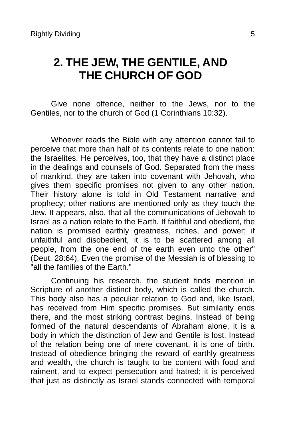## <span id="page-4-0"></span>**2. THE JEW, THE GENTILE, AND THE CHURCH OF GOD**

Give none offence, neither to the Jews, nor to the Gentiles, nor to the church of God (1 Corinthians 10:32).

Whoever reads the Bible with any attention cannot fail to perceive that more than half of its contents relate to one nation: the Israelites. He perceives, too, that they have a distinct place in the dealings and counsels of God. Separated from the mass of mankind, they are taken into covenant with Jehovah, who gives them specific promises not given to any other nation. Their history alone is told in Old Testament narrative and prophecy; other nations are mentioned only as they touch the Jew. It appears, also, that all the communications of Jehovah to Israel as a nation relate to the Earth. If faithful and obedient, the nation is promised earthly greatness, riches, and power; if unfaithful and disobedient, it is to be scattered among all people, from the one end of the earth even unto the other" (Deut. 28:64). Even the promise of the Messiah is of blessing to "all the families of the Earth."

Continuing his research, the student finds mention in Scripture of another distinct body, which is called the church. This body also has a peculiar relation to God and, like Israel, has received from Him specific promises. But similarity ends there, and the most striking contrast begins. Instead of being formed of the natural descendants of Abraham alone, it is a body in which the distinction of Jew and Gentile is lost. Instead of the relation being one of mere covenant, it is one of birth. Instead of obedience bringing the reward of earthly greatness and wealth, the church is taught to be content with food and raiment, and to expect persecution and hatred; it is perceived that just as distinctly as Israel stands connected with temporal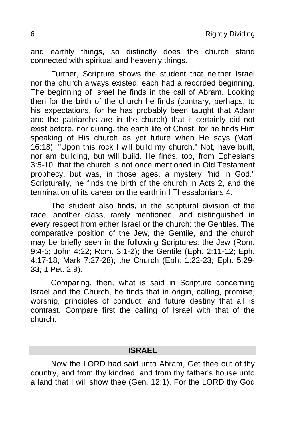and earthly things, so distinctly does the church stand connected with spiritual and heavenly things.

Further, Scripture shows the student that neither Israel nor the church always existed; each had a recorded beginning. The beginning of Israel he finds in the call of Abram. Looking then for the birth of the church he finds (contrary, perhaps, to his expectations, for he has probably been taught that Adam and the patriarchs are in the church) that it certainly did not exist before, nor during, the earth life of Christ, for he finds Him speaking of His church as yet future when He says (Matt. 16:18), "Upon this rock I will build my church." Not, have built, nor am building, but will build. He finds, too, from Ephesians 3:5-10, that the church is not once mentioned in Old Testament prophecy, but was, in those ages, a mystery "hid in God." Scripturally, he finds the birth of the church in Acts 2, and the termination of its career on the earth in I Thessalonians 4.

The student also finds, in the scriptural division of the race, another class, rarely mentioned, and distinguished in every respect from either Israel or the church: the Gentiles. The comparative position of the Jew, the Gentile, and the church may be briefly seen in the following Scriptures: the Jew (Rom. 9:4-5; John 4:22; Rom. 3:1-2); the Gentile (Eph. 2:11-12; Eph. 4:17-18; Mark 7:27-28); the Church (Eph. 1:22-23; Eph. 5:29- 33; 1 Pet. 2:9).

Comparing, then, what is said in Scripture concerning Israel and the Church, he finds that in origin, calling, promise, worship, principles of conduct, and future destiny that all is contrast. Compare first the calling of Israel with that of the church.

#### **ISRAEL**

Now the LORD had said unto Abram, Get thee out of thy country, and from thy kindred, and from thy father's house unto a land that I will show thee (Gen. 12:1). For the LORD thy God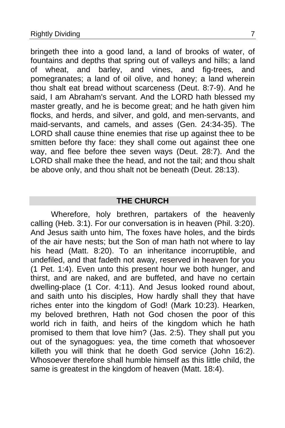bringeth thee into a good land, a land of brooks of water, of fountains and depths that spring out of valleys and hills; a land of wheat, and barley, and vines, and fig-trees, and pomegranates; a land of oil olive, and honey; a land wherein thou shalt eat bread without scarceness (Deut. 8:7-9). And he said, I am Abraham's servant. And the LORD hath blessed my master greatly, and he is become great; and he hath given him flocks, and herds, and silver, and gold, and men-servants, and maid-servants, and camels, and asses (Gen. 24:34-35). The LORD shall cause thine enemies that rise up against thee to be smitten before thy face: they shall come out against thee one way, and flee before thee seven ways (Deut. 28:7). And the LORD shall make thee the head, and not the tail; and thou shalt be above only, and thou shalt not be beneath (Deut. 28:13).

### **THE CHURCH**

Wherefore, holy brethren, partakers of the heavenly calling (Heb. 3:1). For our conversation is in heaven (Phil. 3:20). And Jesus saith unto him, The foxes have holes, and the birds of the air have nests; but the Son of man hath not where to lay his head (Matt. 8:20). To an inheritance incorruptible, and undefiled, and that fadeth not away, reserved in heaven for you (1 Pet. 1:4). Even unto this present hour we both hunger, and thirst, and are naked, and are buffeted, and have no certain dwelling-place (1 Cor. 4:11). And Jesus looked round about, and saith unto his disciples, How hardly shall they that have riches enter into the kingdom of God! (Mark 10:23). Hearken, my beloved brethren, Hath not God chosen the poor of this world rich in faith, and heirs of the kingdom which he hath promised to them that love him? (Jas. 2:5). They shall put you out of the synagogues: yea, the time cometh that whosoever killeth you will think that he doeth God service (John 16:2). Whosoever therefore shall humble himself as this little child, the same is greatest in the kingdom of heaven (Matt. 18:4).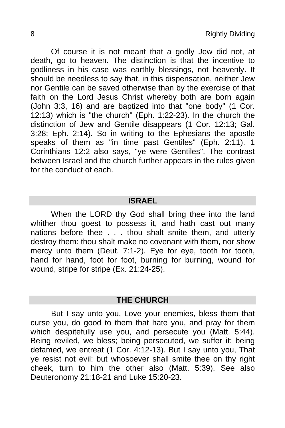Of course it is not meant that a godly Jew did not, at death, go to heaven. The distinction is that the incentive to godliness in his case was earthly blessings, not heavenly. It should be needless to say that, in this dispensation, neither Jew nor Gentile can be saved otherwise than by the exercise of that faith on the Lord Jesus Christ whereby both are born again (John 3:3, 16) and are baptized into that "one body" (1 Cor. 12:13) which is "the church" (Eph. 1:22-23). In the church the distinction of Jew and Gentile disappears (1 Cor. 12:13; Gal. 3:28; Eph. 2:14). So in writing to the Ephesians the apostle speaks of them as "in time past Gentiles" (Eph. 2:11). 1 Corinthians 12:2 also says, "ye were Gentiles". The contrast between Israel and the church further appears in the rules given for the conduct of each.

### **ISRAEL**

When the LORD thy God shall bring thee into the land whither thou goest to possess it, and hath cast out many nations before thee . . . thou shalt smite them, and utterly destroy them: thou shalt make no covenant with them, nor show mercy unto them (Deut. 7:1-2). Eye for eye, tooth for tooth, hand for hand, foot for foot, burning for burning, wound for wound, stripe for stripe (Ex. 21:24-25).

#### **THE CHURCH**

But I say unto you, Love your enemies, bless them that curse you, do good to them that hate you, and pray for them which despitefully use you, and persecute you (Matt. 5:44). Being reviled, we bless; being persecuted, we suffer it: being defamed, we entreat (1 Cor. 4:12-13). But I say unto you, That ye resist not evil: but whosoever shall smite thee on thy right cheek, turn to him the other also (Matt. 5:39). See also Deuteronomy 21:18-21 and Luke 15:20-23.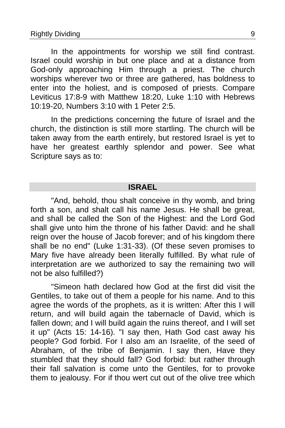In the appointments for worship we still find contrast. Israel could worship in but one place and at a distance from God-only approaching Him through a priest. The church worships wherever two or three are gathered, has boldness to enter into the holiest, and is composed of priests. Compare Leviticus 17:8-9 with Matthew 18:20, Luke 1:10 with Hebrews 10:19-20, Numbers 3:10 with 1 Peter 2:5.

In the predictions concerning the future of Israel and the church, the distinction is still more startling. The church will be taken away from the earth entirely, but restored Israel is yet to have her greatest earthly splendor and power. See what Scripture says as to:

### **ISRAEL**

"And, behold, thou shalt conceive in thy womb, and bring forth a son, and shalt call his name Jesus. He shall be great, and shall be called the Son of the Highest: and the Lord God shall give unto him the throne of his father David: and he shall reign over the house of Jacob forever; and of his kingdom there shall be no end" (Luke 1:31-33). (Of these seven promises to Mary five have already been literally fulfilled. By what rule of interpretation are we authorized to say the remaining two will not be also fulfilled?)

"Simeon hath declared how God at the first did visit the Gentiles, to take out of them a people for his name. And to this agree the words of the prophets, as it is written: After this I will return, and will build again the tabernacle of David, which is fallen down; and I will build again the ruins thereof, and I will set it up" (Acts 15: 14-16). "I say then, Hath God cast away his people? God forbid. For I also am an Israelite, of the seed of Abraham, of the tribe of Benjamin. I say then, Have they stumbled that they should fall? God forbid: but rather through their fall salvation is come unto the Gentiles, for to provoke them to jealousy. For if thou wert cut out of the olive tree which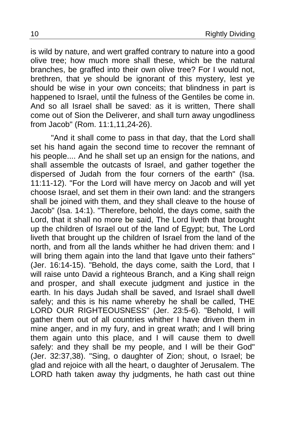is wild by nature, and wert graffed contrary to nature into a good olive tree; how much more shall these, which be the natural branches, be graffed into their own olive tree? For I would not, brethren, that ye should be ignorant of this mystery, lest ye should be wise in your own conceits; that blindness in part is happened to Israel, until the fulness of the Gentiles be come in. And so all Israel shall be saved: as it is written, There shall come out of Sion the Deliverer, and shall turn away ungodliness from Jacob" (Rom. 11:1,11,24-26).

"And it shall come to pass in that day, that the Lord shall set his hand again the second time to recover the remnant of his people.... And he shall set up an ensign for the nations, and shall assemble the outcasts of Israel, and gather together the dispersed of Judah from the four corners of the earth" (Isa. 11:11-12). "For the Lord will have mercy on Jacob and will yet choose Israel, and set them in their own land: and the strangers shall be joined with them, and they shall cleave to the house of Jacob" (Isa. 14:1). "Therefore, behold, the days come, saith the Lord, that it shall no more be said, The Lord liveth that brought up the children of Israel out of the land of Egypt; but, The Lord liveth that brought up the children of Israel from the land of the north, and from all the lands whither he had driven them: and I will bring them again into the land that Igave unto their fathers" (Jer. 16:14-15). "Behold, the days come, saith the Lord, that I will raise unto David a righteous Branch, and a King shall reign and prosper, and shall execute judgment and justice in the earth. In his days Judah shall be saved, and Israel shall dwell safely; and this is his name whereby he shall be called, THE LORD OUR RIGHTEOUSNESS" (Jer. 23:5-6). "Behold, I will gather them out of all countries whither I have driven them in mine anger, and in my fury, and in great wrath; and I will bring them again unto this place, and I will cause them to dwell safely: and they shall be my people, and I will be their God" (Jer. 32:37,38). "Sing, o daughter of Zion; shout, o Israel; be glad and rejoice with all the heart, o daughter of Jerusalem. The LORD hath taken away thy judgments, he hath cast out thine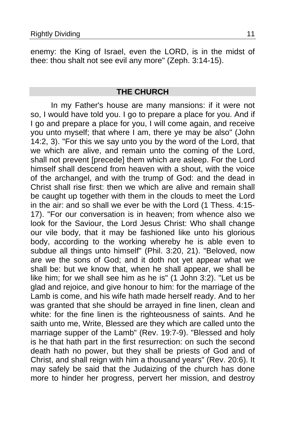enemy: the King of Israel, even the LORD, is in the midst of thee: thou shalt not see evil any more" (Zeph. 3:14-15).

#### **THE CHURCH**

In my Father's house are many mansions: if it were not so, I would have told you. I go to prepare a place for you. And if I go and prepare a place for you, I will come again, and receive you unto myself; that where I am, there ye may be also" (John 14:2, 3). "For this we say unto you by the word of the Lord, that we which are alive, and remain unto the coming of the Lord, shall not prevent [precede] them which are asleep. For the Lord himself shall descend from heaven with a shout, with the voice of the archangel, and with the trump of God: and the dead in Christ shall rise first: then we which are alive and remain shall be caught up together with them in the clouds to meet the Lord in the air: and so shall we ever be with the Lord (1 Thess. 4:15- 17). "For our conversation is in heaven; from whence also we look for the Saviour, the Lord Jesus Christ: Who shall change our vile body, that it may be fashioned like unto his glorious body, according to the working whereby he is able even to subdue all things unto himself" (Phil. 3:20, 21). "Beloved, now are we the sons of God; and it doth not yet appear what we shall be: but we know that, when he shall appear, we shall be like him; for we shall see him as he is" (1 John 3:2). "Let us be glad and rejoice, and give honour to him: for the marriage of the Lamb is come, and his wife hath made herself ready. And to her was granted that she should be arrayed in fine linen, clean and white: for the fine linen is the righteousness of saints. And he saith unto me, Write, Blessed are they which are called unto the marriage supper of the Lamb" (Rev. 19:7-9). "Blessed and holy is he that hath part in the first resurrection: on such the second death hath no power, but they shall be priests of God and of Christ, and shall reign with him a thousand years" (Rev. 20:6). It may safely be said that the Judaizing of the church has done more to hinder her progress, pervert her mission, and destroy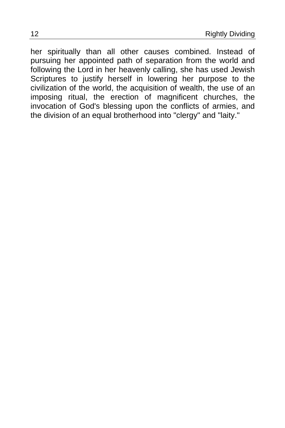her spiritually than all other causes combined. Instead of pursuing her appointed path of separation from the world and following the Lord in her heavenly calling, she has used Jewish Scriptures to justify herself in lowering her purpose to the civilization of the world, the acquisition of wealth, the use of an imposing ritual, the erection of magnificent churches, the invocation of God's blessing upon the conflicts of armies, and the division of an equal brotherhood into "clergy" and "laity."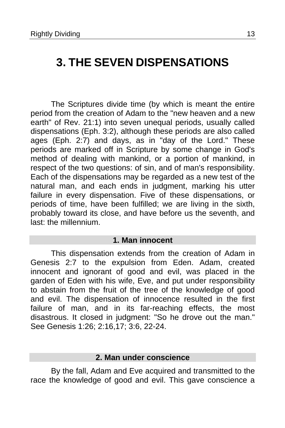# <span id="page-12-0"></span>**3. THE SEVEN DISPENSATIONS**

The Scriptures divide time (by which is meant the entire period from the creation of Adam to the "new heaven and a new earth" of Rev. 21:1) into seven unequal periods, usually called dispensations (Eph. 3:2), although these periods are also called ages (Eph. 2:7) and days, as in "day of the Lord." These periods are marked off in Scripture by some change in God's method of dealing with mankind, or a portion of mankind, in respect of the two questions: of sin, and of man's responsibility. Each of the dispensations may be regarded as a new test of the natural man, and each ends in judgment, marking his utter failure in every dispensation. Five of these dispensations, or periods of time, have been fulfilled; we are living in the sixth, probably toward its close, and have before us the seventh, and last: the millennium.

#### **1. Man innocent**

This dispensation extends from the creation of Adam in Genesis 2:7 to the expulsion from Eden. Adam, created innocent and ignorant of good and evil, was placed in the garden of Eden with his wife, Eve, and put under responsibility to abstain from the fruit of the tree of the knowledge of good and evil. The dispensation of innocence resulted in the first failure of man, and in its far-reaching effects, the most disastrous. It closed in judgment: "So he drove out the man." See Genesis 1:26; 2:16,17; 3:6, 22-24.

#### **2. Man under conscience**

By the fall, Adam and Eve acquired and transmitted to the race the knowledge of good and evil. This gave conscience a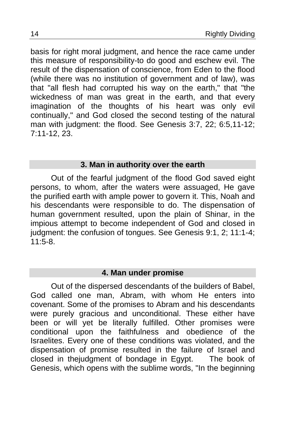basis for right moral judgment, and hence the race came under this measure of responsibility-to do good and eschew evil. The result of the dispensation of conscience, from Eden to the flood (while there was no institution of government and of law), was that "all flesh had corrupted his way on the earth," that "the wickedness of man was great in the earth, and that every imagination of the thoughts of his heart was only evil continually," and God closed the second testing of the natural man with judgment: the flood. See Genesis 3:7, 22; 6:5,11-12; 7:11-12, 23.

### **3. Man in authority over the earth**

Out of the fearful judgment of the flood God saved eight persons, to whom, after the waters were assuaged, He gave the purified earth with ample power to govern it. This, Noah and his descendants were responsible to do. The dispensation of human government resulted, upon the plain of Shinar, in the impious attempt to become independent of God and closed in judgment: the confusion of tongues. See Genesis 9:1, 2; 11:1-4;  $11:5-8.$ 

### **4. Man under promise**

Out of the dispersed descendants of the builders of Babel, God called one man, Abram, with whom He enters into covenant. Some of the promises to Abram and his descendants were purely gracious and unconditional. These either have been or will yet be literally fulfilled. Other promises were conditional upon the faithfulness and obedience of the Israelites. Every one of these conditions was violated, and the dispensation of promise resulted in the failure of Israel and closed in thejudgment of bondage in Egypt. The book of Genesis, which opens with the sublime words, "In the beginning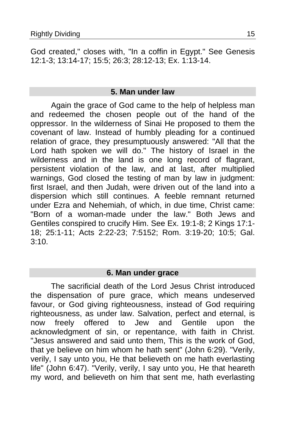God created," closes with, "In a coffin in Egypt." See Genesis 12:1-3; 13:14-17; 15:5; 26:3; 28:12-13; Ex. 1:13-14.

### **5. Man under law**

Again the grace of God came to the help of helpless man and redeemed the chosen people out of the hand of the oppressor. In the wilderness of Sinai He proposed to them the covenant of law. Instead of humbly pleading for a continued relation of grace, they presumptuously answered: "All that the Lord hath spoken we will do." The history of Israel in the wilderness and in the land is one long record of flagrant, persistent violation of the law, and at last, after multiplied warnings, God closed the testing of man by law in judgment: first Israel, and then Judah, were driven out of the land into a dispersion which still continues. A feeble remnant returned under Ezra and Nehemiah, of which, in due time, Christ came: "Born of a woman-made under the law." Both Jews and Gentiles conspired to crucify Him. See Ex. 19:1-8; 2 Kings 17:1- 18; 25:1-11; Acts 2:22-23; 7:5152; Rom. 3:19-20; 10:5; Gal.  $3:10$ .

### **6. Man under grace**

The sacrificial death of the Lord Jesus Christ introduced the dispensation of pure grace, which means undeserved favour, or God giving righteousness, instead of God requiring righteousness, as under law. Salvation, perfect and eternal, is now freely offered to Jew and Gentile upon the acknowledgment of sin, or repentance, with faith in Christ. "Jesus answered and said unto them, This is the work of God, that ye believe on him whom he hath sent" (John 6:29). "Verily, verily, I say unto you, He that believeth on me hath everlasting life" (John 6:47). "Verily, verily, I say unto you, He that heareth my word, and believeth on him that sent me, hath everlasting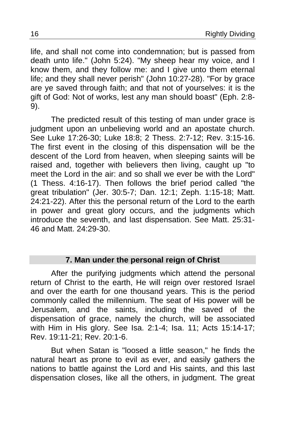life, and shall not come into condemnation; but is passed from death unto life." (John 5:24). "My sheep hear my voice, and I know them, and they follow me: and I give unto them eternal life; and they shall never perish" (John 10:27-28). "For by grace are ye saved through faith; and that not of yourselves: it is the gift of God: Not of works, lest any man should boast" (Eph. 2:8- 9).

The predicted result of this testing of man under grace is judgment upon an unbelieving world and an apostate church. See Luke 17:26-30; Luke 18:8; 2 Thess. 2:7-12; Rev. 3:15-16. The first event in the closing of this dispensation will be the descent of the Lord from heaven, when sleeping saints will be raised and, together with believers then living, caught up "to meet the Lord in the air: and so shall we ever be with the Lord" (1 Thess. 4:16-17). Then follows the brief period called "the great tribulation" (Jer. 30:5-7; Dan. 12:1; Zeph. 1:15-18; Matt. 24:21-22). After this the personal return of the Lord to the earth in power and great glory occurs, and the judgments which introduce the seventh, and last dispensation. See Matt. 25:31- 46 and Matt. 24:29-30.

### **7. Man under the personal reign of Christ**

After the purifying judgments which attend the personal return of Christ to the earth, He will reign over restored Israel and over the earth for one thousand years. This is the period commonly called the millennium. The seat of His power will be Jerusalem, and the saints, including the saved of the dispensation of grace, namely the church, will be associated with Him in His glory. See Isa. 2:1-4; Isa. 11; Acts 15:14-17; Rev. 19:11-21; Rev. 20:1-6.

But when Satan is "loosed a little season," he finds the natural heart as prone to evil as ever, and easily gathers the nations to battle against the Lord and His saints, and this last dispensation closes, like all the others, in judgment. The great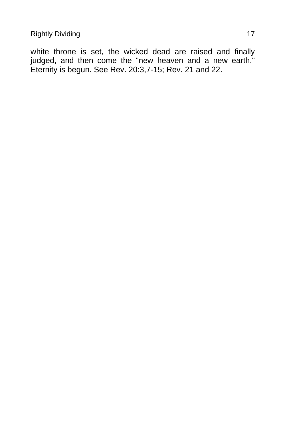white throne is set, the wicked dead are raised and finally judged, and then come the "new heaven and a new earth." Eternity is begun. See Rev. 20:3,7-15; Rev. 21 and 22.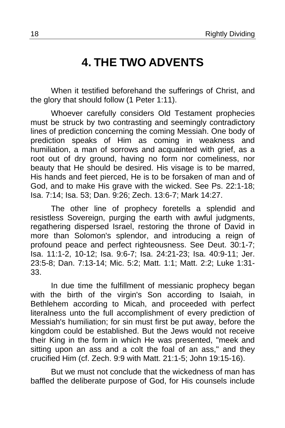# **4. THE TWO ADVENTS**

<span id="page-17-0"></span>When it testified beforehand the sufferings of Christ, and the glory that should follow (1 Peter 1:11).

Whoever carefully considers Old Testament prophecies must be struck by two contrasting and seemingly contradictory lines of prediction concerning the coming Messiah. One body of prediction speaks of Him as coming in weakness and humiliation, a man of sorrows and acquainted with grief, as a root out of dry ground, having no form nor comeliness, nor beauty that He should be desired. His visage is to be marred, His hands and feet pierced, He is to be forsaken of man and of God, and to make His grave with the wicked. See Ps. 22:1-18; Isa. 7:14; Isa. 53; Dan. 9:26; Zech. 13:6-7; Mark 14:27.

The other line of prophecy foretells a splendid and resistless Sovereign, purging the earth with awful judgments, regathering dispersed Israel, restoring the throne of David in more than Solomon's splendor, and introducing a reign of profound peace and perfect righteousness. See Deut. 30:1-7; Isa. 11:1-2, 10-12; Isa. 9:6-7; Isa. 24:21-23; Isa. 40:9-11; Jer. 23:5-8; Dan. 7:13-14; Mic. 5:2; Matt. 1:1; Matt. 2:2; Luke 1:31- 33.

In due time the fulfillment of messianic prophecy began with the birth of the virgin's Son according to Isaiah, in Bethlehem according to Micah, and proceeded with perfect literalness unto the full accomplishment of every prediction of Messiah's humiliation; for sin must first be put away, before the kingdom could be established. But the Jews would not receive their King in the form in which He was presented, "meek and sitting upon an ass and a colt the foal of an ass," and they crucified Him (cf. Zech. 9:9 with Matt. 21:1-5; John 19:15-16).

But we must not conclude that the wickedness of man has baffled the deliberate purpose of God, for His counsels include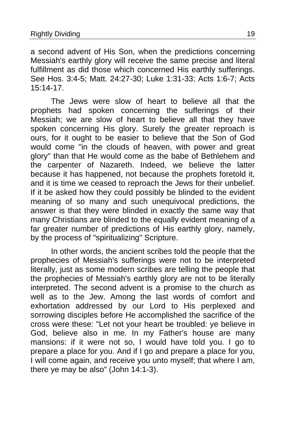a second advent of His Son, when the predictions concerning Messiah's earthly glory will receive the same precise and literal fulfillment as did those which concerned His earthly sufferings. See Hos. 3:4-5; Matt. 24:27-30; Luke 1:31-33; Acts 1:6-7; Acts 15:14-17.

The Jews were slow of heart to believe all that the prophets had spoken concerning the sufferings of their Messiah; we are slow of heart to believe all that they have spoken concerning His glory. Surely the greater reproach is ours, for it ought to be easier to believe that the Son of God would come "in the clouds of heaven, with power and great glory" than that He would come as the babe of Bethlehem and the carpenter of Nazareth. Indeed, we believe the latter because it has happened, not because the prophets foretold it, and it is time we ceased to reproach the Jews for their unbelief. If it be asked how they could possibly be blinded to the evident meaning of so many and such unequivocal predictions, the answer is that they were blinded in exactly the same way that many Christians are blinded to the equally evident meaning of a far greater number of predictions of His earthly glory, namely, by the process of "spiritualizing" Scripture.

In other words, the ancient scribes told the people that the prophecies of Messiah's sufferings were not to be interpreted literally, just as some modern scribes are telling the people that the prophecies of Messiah's earthly glory are not to be literally interpreted. The second advent is a promise to the church as well as to the Jew. Among the last words of comfort and exhortation addressed by our Lord to His perplexed and sorrowing disciples before He accomplished the sacrifice of the cross were these: "Let not your heart be troubled: ye believe in God, believe also in me. In my Father's house are many mansions: if it were not so, I would have told you. I go to prepare a place for you. And if I go and prepare a place for you, I will come again, and receive you unto myself; that where I am, there ye may be also" (John  $14:1-3$ ).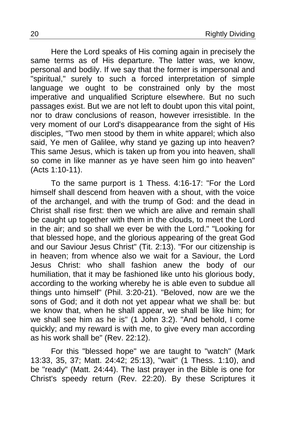Here the Lord speaks of His coming again in precisely the same terms as of His departure. The latter was, we know, personal and bodily. If we say that the former is impersonal and "spiritual," surely to such a forced interpretation of simple language we ought to be constrained only by the most imperative and unqualified Scripture elsewhere. But no such passages exist. But we are not left to doubt upon this vital point, nor to draw conclusions of reason, however irresistible. In the very moment of our Lord's disappearance from the sight of His disciples, "Two men stood by them in white apparel; which also said, Ye men of Galilee, why stand ye gazing up into heaven? This same Jesus, which is taken up from you into heaven, shall so come in like manner as ye have seen him go into heaven" (Acts 1:10-11).

To the same purport is 1 Thess. 4:16-17: "For the Lord himself shall descend from heaven with a shout, with the voice of the archangel, and with the trump of God: and the dead in Christ shall rise first: then we which are alive and remain shall be caught up together with them in the clouds, to meet the Lord in the air; and so shall we ever be with the Lord." "Looking for that blessed hope, and the glorious appearing of the great God and our Saviour Jesus Christ" (Tit. 2:13). "For our citizenship is in heaven; from whence also we wait for a Saviour, the Lord Jesus Christ: who shall fashion anew the body of our humiliation, that it may be fashioned like unto his glorious body, according to the working whereby he is able even to subdue all things unto himself" (Phil. 3:20-21). "Beloved, now are we the sons of God; and it doth not yet appear what we shall be: but we know that, when he shall appear, we shall be like him; for we shall see him as he is" (1 John 3:2). "And behold, I come quickly; and my reward is with me, to give every man according as his work shall be" (Rev. 22:12).

For this "blessed hope" we are taught to "watch" (Mark 13:33, 35, 37; Matt. 24:42; 25:13), "wait" (1 Thess. 1:10), and be "ready" (Matt. 24:44). The last prayer in the Bible is one for Christ's speedy return (Rev. 22:20). By these Scriptures it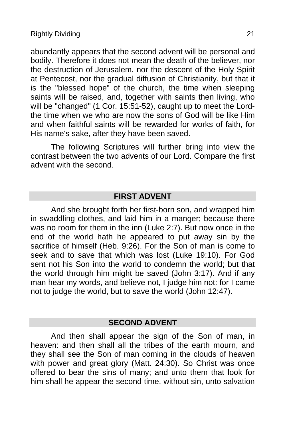abundantly appears that the second advent will be personal and bodily. Therefore it does not mean the death of the believer, nor the destruction of Jerusalem, nor the descent of the Holy Spirit at Pentecost, nor the gradual diffusion of Christianity, but that it is the "blessed hope" of the church, the time when sleeping saints will be raised, and, together with saints then living, who will be "changed" (1 Cor. 15:51-52), caught up to meet the Lordthe time when we who are now the sons of God will be like Him and when faithful saints will be rewarded for works of faith, for His name's sake, after they have been saved.

The following Scriptures will further bring into view the contrast between the two advents of our Lord. Compare the first advent with the second.

### **FIRST ADVENT**

And she brought forth her first-born son, and wrapped him in swaddling clothes, and laid him in a manger; because there was no room for them in the inn (Luke 2:7). But now once in the end of the world hath he appeared to put away sin by the sacrifice of himself (Heb. 9:26). For the Son of man is come to seek and to save that which was lost (Luke 19:10). For God sent not his Son into the world to condemn the world; but that the world through him might be saved (John 3:17). And if any man hear my words, and believe not, I judge him not: for I came not to judge the world, but to save the world (John 12:47).

### **SECOND ADVENT**

And then shall appear the sign of the Son of man, in heaven: and then shall all the tribes of the earth mourn, and they shall see the Son of man coming in the clouds of heaven with power and great glory (Matt. 24:30). So Christ was once offered to bear the sins of many; and unto them that look for him shall he appear the second time, without sin, unto salvation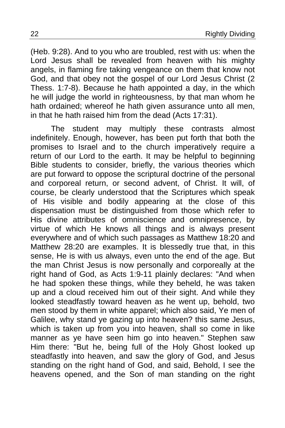(Heb. 9:28). And to you who are troubled, rest with us: when the Lord Jesus shall be revealed from heaven with his mighty angels, in flaming fire taking vengeance on them that know not God, and that obey not the gospel of our Lord Jesus Christ (2 Thess. 1:7-8). Because he hath appointed a day, in the which he will judge the world in righteousness, by that man whom he hath ordained; whereof he hath given assurance unto all men, in that he hath raised him from the dead (Acts 17:31).

The student may multiply these contrasts almost indefinitely. Enough, however, has been put forth that both the promises to Israel and to the church imperatively require a return of our Lord to the earth. It may be helpful to beginning Bible students to consider, briefly, the various theories which are put forward to oppose the scriptural doctrine of the personal and corporeal return, or second advent, of Christ. It will, of course, be clearly understood that the Scriptures which speak of His visible and bodily appearing at the close of this dispensation must be distinguished from those which refer to His divine attributes of omniscience and omnipresence, by virtue of which He knows all things and is always present everywhere and of which such passages as Matthew 18:20 and Matthew 28:20 are examples. It is blessedly true that, in this sense, He is with us always, even unto the end of the age. But the man Christ Jesus is now personally and corporeally at the right hand of God, as Acts 1:9-11 plainly declares: "And when he had spoken these things, while they beheld, he was taken up and a cloud received him out of their sight. And while they looked steadfastly toward heaven as he went up, behold, two men stood by them in white apparel; which also said, Ye men of Galilee, why stand ye gazing up into heaven? this same Jesus, which is taken up from you into heaven, shall so come in like manner as ye have seen him go into heaven." Stephen saw Him there: "But he, being full of the Holy Ghost looked up steadfastly into heaven, and saw the glory of God, and Jesus standing on the right hand of God, and said, Behold, I see the heavens opened, and the Son of man standing on the right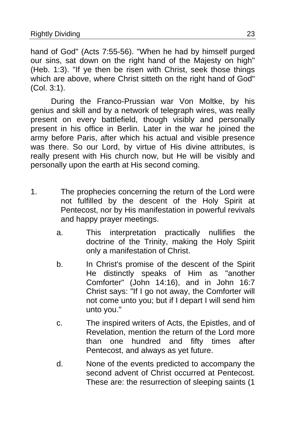hand of God" (Acts 7:55-56). "When he had by himself purged our sins, sat down on the right hand of the Majesty on high" (Heb. 1:3). "If ye then be risen with Christ, seek those things which are above, where Christ sitteth on the right hand of God" (Col. 3:1).

During the Franco-Prussian war Von Moltke, by his genius and skill and by a network of telegraph wires, was really present on every battlefield, though visibly and personally present in his office in Berlin. Later in the war he joined the army before Paris, after which his actual and visible presence was there. So our Lord, by virtue of His divine attributes, is really present with His church now, but He will be visibly and personally upon the earth at His second coming.

- 1. The prophecies concerning the return of the Lord were not fulfilled by the descent of the Holy Spirit at Pentecost, nor by His manifestation in powerful revivals and happy prayer meetings.
	- a. This interpretation practically nullifies the doctrine of the Trinity, making the Holy Spirit only a manifestation of Christ.
	- b. In Christ's promise of the descent of the Spirit He distinctly speaks of Him as "another Comforter" (John 14:16), and in John 16:7 Christ says: "If I go not away, the Comforter will not come unto you; but if I depart I will send him unto you."
	- c. The inspired writers of Acts, the Epistles, and of Revelation, mention the return of the Lord more than one hundred and fifty times after Pentecost, and always as yet future.
	- d. None of the events predicted to accompany the second advent of Christ occurred at Pentecost. These are: the resurrection of sleeping saints (1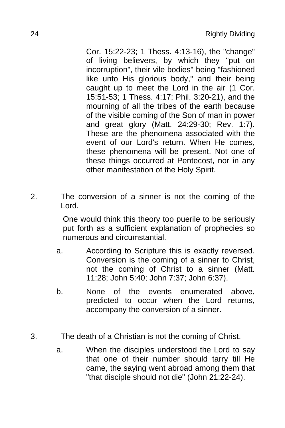Cor. 15:22-23; 1 Thess. 4:13-16), the "change" of living believers, by which they "put on incorruption", their vile bodies" being "fashioned like unto His glorious body," and their being caught up to meet the Lord in the air (1 Cor. 15:51-53; 1 Thess. 4:17; Phil. 3:20-21), and the mourning of all the tribes of the earth because of the visible coming of the Son of man in power and great glory (Matt. 24:29-30; Rev. 1:7). These are the phenomena associated with the event of our Lord's return. When He comes, these phenomena will be present. Not one of these things occurred at Pentecost, nor in any other manifestation of the Holy Spirit.

2. The conversion of a sinner is not the coming of the Lord.

> One would think this theory too puerile to be seriously put forth as a sufficient explanation of prophecies so numerous and circumstantial.

- a. According to Scripture this is exactly reversed. Conversion is the coming of a sinner to Christ, not the coming of Christ to a sinner (Matt. 11:28; John 5:40; John 7:37; John 6:37).
- b. None of the events enumerated above, predicted to occur when the Lord returns, accompany the conversion of a sinner.
- 3. The death of a Christian is not the coming of Christ.
	- a. When the disciples understood the Lord to say that one of their number should tarry till He came, the saying went abroad among them that "that disciple should not die" (John 21:22-24).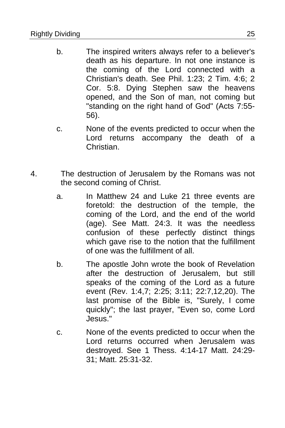- b. The inspired writers always refer to a believer's death as his departure. In not one instance is the coming of the Lord connected with a Christian's death. See Phil. 1:23; 2 Tim. 4:6; 2 Cor. 5:8. Dying Stephen saw the heavens opened, and the Son of man, not coming but "standing on the right hand of God" (Acts 7:55- 56).
- c. None of the events predicted to occur when the Lord returns accompany the death of a Christian.
- 4. The destruction of Jerusalem by the Romans was not the second coming of Christ.
	- a. In Matthew 24 and Luke 21 three events are foretold: the destruction of the temple, the coming of the Lord, and the end of the world (age). See Matt. 24:3. It was the needless confusion of these perfectly distinct things which gave rise to the notion that the fulfillment of one was the fulfillment of all.
	- b. The apostle John wrote the book of Revelation after the destruction of Jerusalem, but still speaks of the coming of the Lord as a future event (Rev. 1:4,7; 2:25; 3:11; 22:7,12,20). The last promise of the Bible is, "Surely, I come quickly"; the last prayer, "Even so, come Lord Jesus."
	- c. None of the events predicted to occur when the Lord returns occurred when Jerusalem was destroyed. See 1 Thess. 4:14-17 Matt. 24:29- 31; Matt. 25:31-32.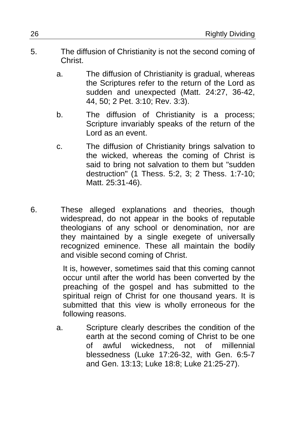- 5. The diffusion of Christianity is not the second coming of Christ.
	- a. The diffusion of Christianity is gradual, whereas the Scriptures refer to the return of the Lord as sudden and unexpected (Matt. 24:27, 36-42, 44, 50; 2 Pet. 3:10; Rev. 3:3).
	- b. The diffusion of Christianity is a process; Scripture invariably speaks of the return of the Lord as an event.
	- c. The diffusion of Christianity brings salvation to the wicked, whereas the coming of Christ is said to bring not salvation to them but "sudden destruction" (1 Thess. 5:2, 3; 2 Thess. 1:7-10; Matt. 25:31-46).
- 6. These alleged explanations and theories, though widespread, do not appear in the books of reputable theologians of any school or denomination, nor are they maintained by a single exegete of universally recognized eminence. These all maintain the bodily and visible second coming of Christ.

It is, however, sometimes said that this coming cannot occur until after the world has been converted by the preaching of the gospel and has submitted to the spiritual reign of Christ for one thousand years. It is submitted that this view is wholly erroneous for the following reasons.

a. Scripture clearly describes the condition of the earth at the second coming of Christ to be one of awful wickedness, not of millennial blessedness (Luke 17:26-32, with Gen. 6:5-7 and Gen. 13:13; Luke 18:8; Luke 21:25-27).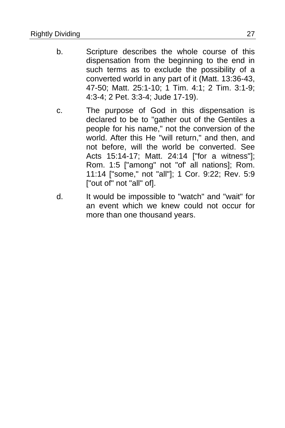- b. Scripture describes the whole course of this dispensation from the beginning to the end in such terms as to exclude the possibility of a converted world in any part of it (Matt. 13:36-43, 47-50; Matt. 25:1-10; 1 Tim. 4:1; 2 Tim. 3:1-9; 4:3-4; 2 Pet. 3:3-4; Jude 17-19).
- c. The purpose of God in this dispensation is declared to be to "gather out of the Gentiles a people for his name," not the conversion of the world. After this He "will return," and then, and not before, will the world be converted. See Acts 15:14-17; Matt. 24:14 ["for a witness"]; Rom. 1:5 ["among" not "of' all nations]; Rom. 11:14 ["some," not "all"]; 1 Cor. 9:22; Rev. 5:9 ["out of" not "all" of].
- d. It would be impossible to "watch" and "wait" for an event which we knew could not occur for more than one thousand years.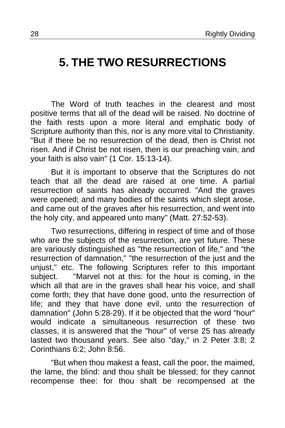# <span id="page-27-0"></span>**5. THE TWO RESURRECTIONS**

The Word of truth teaches in the clearest and most positive terms that all of the dead will be raised. No doctrine of the faith rests upon a more literal and emphatic body of Scripture authority than this, nor is any more vital to Christianity. "But if there be no resurrection of the dead, then is Christ not risen. And if Christ be not risen, then is our preaching vain, and your faith is also vain" (1 Cor. 15:13-14).

But it is important to observe that the Scriptures do not teach that all the dead are raised at one time. A partial resurrection of saints has already occurred. "And the graves were opened; and many bodies of the saints which slept arose, and came out of the graves after his resurrection, and went into the holy city, and appeared unto many" (Matt. 27:52-53).

Two resurrections, differing in respect of time and of those who are the subjects of the resurrection, are yet future. These are variously distinguished as "the resurrection of life," and "the resurrection of damnation," "the resurrection of the just and the unjust," etc. The following Scriptures refer to this important subject. "Marvel not at this: for the hour is coming, in the which all that are in the graves shall hear his voice, and shall come forth; they that have done good, unto the resurrection of life; and they that have done evil, unto the resurrection of damnation" (John 5:28-29). If it be objected that the word "hour" would indicate a simultaneous resurrection of these two classes, it is answered that the "hour" of verse 25 has already lasted two thousand years. See also "day," in 2 Peter 3:8; 2 Corinthians 6:2; John 8:56.

"But when thou makest a feast, call the poor, the maimed, the lame, the blind: and thou shalt be blessed; for they cannot recompense thee: for thou shalt be recompensed at the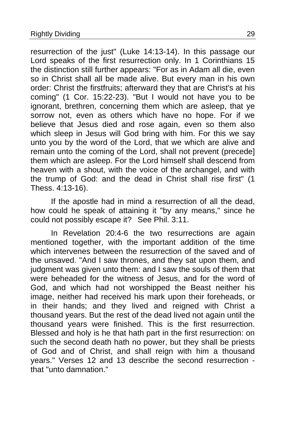resurrection of the just" (Luke 14:13-14). In this passage our Lord speaks of the first resurrection only. In 1 Corinthians 15 the distinction still further appears: "For as in Adam all die, even so in Christ shall all be made alive. But every man in his own order: Christ the firstfruits; afterward they that are Christ's at his coming" (1 Cor. 15:22-23). "But I would not have you to be ignorant, brethren, concerning them which are asleep, that ye sorrow not, even as others which have no hope. For if we believe that Jesus died and rose again, even so them also which sleep in Jesus will God bring with him. For this we say unto you by the word of the Lord, that we which are alive and remain unto the coming of the Lord, shall not prevent (precede] them which are asleep. For the Lord himself shall descend from heaven with a shout, with the voice of the archangel, and with the trump of God: and the dead in Christ shall rise first" (1 Thess. 4:13-16).

If the apostle had in mind a resurrection of all the dead, how could he speak of attaining it "by any means," since he could not possibly escape it? See Phil. 3:11.

In Revelation 20:4-6 the two resurrections are again mentioned together, with the important addition of the time which intervenes between the resurrection of the saved and of the unsaved. "And I saw thrones, and they sat upon them, and judgment was given unto them: and I saw the souls of them that were beheaded for the witness of Jesus, and for the word of God, and which had not worshipped the Beast neither his image, neither had received his mark upon their foreheads, or in their hands; and they lived and reigned with Christ a thousand years. But the rest of the dead lived not again until the thousand years were finished. This is the first resurrection. Blessed and holy is he that hath part in the first resurrection: on such the second death hath no power, but they shall be priests of God and of Christ, and shall reign with him a thousand years." Verses 12 and 13 describe the second resurrection that "unto damnation."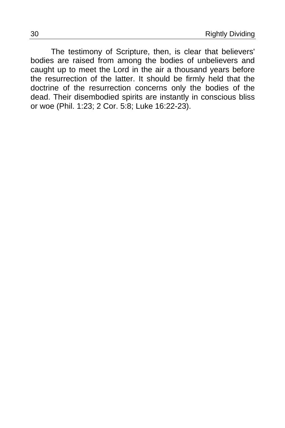The testimony of Scripture, then, is clear that believers' bodies are raised from among the bodies of unbelievers and caught up to meet the Lord in the air a thousand years before the resurrection of the latter. It should be firmly held that the doctrine of the resurrection concerns only the bodies of the dead. Their disembodied spirits are instantly in conscious bliss or woe (Phil. 1:23; 2 Cor. 5:8; Luke 16:22-23).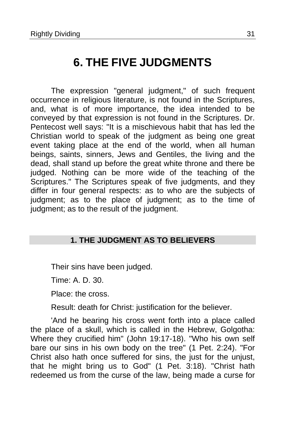# **6. THE FIVE JUDGMENTS**

<span id="page-30-0"></span>The expression "general judgment," of such frequent occurrence in religious literature, is not found in the Scriptures, and, what is of more importance, the idea intended to be conveyed by that expression is not found in the Scriptures. Dr. Pentecost well says: "It is a mischievous habit that has led the Christian world to speak of the judgment as being one great event taking place at the end of the world, when all human beings, saints, sinners, Jews and Gentiles, the living and the dead, shall stand up before the great white throne and there be judged. Nothing can be more wide of the teaching of the Scriptures." The Scriptures speak of five judgments, and they differ in four general respects: as to who are the subjects of judgment; as to the place of judgment; as to the time of judgment; as to the result of the judgment.

### **1. THE JUDGMENT AS TO BELIEVERS**

Their sins have been judged.

Time: A. D. 30.

Place: the cross.

Result: death for Christ: justification for the believer.

'And he bearing his cross went forth into a place called the place of a skull, which is called in the Hebrew, Golgotha: Where they crucified him" (John 19:17-18). "Who his own self bare our sins in his own body on the tree" (1 Pet. 2:24). "For Christ also hath once suffered for sins, the just for the unjust, that he might bring us to God" (1 Pet. 3:18). "Christ hath redeemed us from the curse of the law, being made a curse for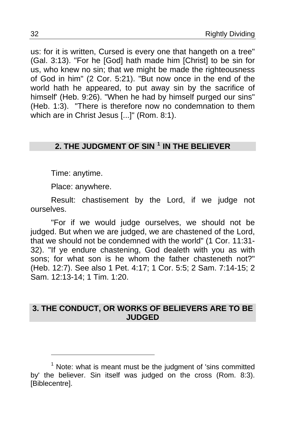us: for it is written, Cursed is every one that hangeth on a tree" (Gal. 3:13). "For he [God] hath made him [Christ] to be sin for us, who knew no sin; that we might be made the righteousness of God in him" (2 Cor. 5:21). "But now once in the end of the world hath he appeared, to put away sin by the sacrifice of himself' (Heb. 9:26). "When he had by himself purged our sins" (Heb. 1:3)."There is therefore now no condemnation to them which are in Christ Jesus [...]" (Rom. 8:1).

### **2. THE JUDGMENT OF SIN [1](#page-31-0) IN THE BELIEVER**

Time: anytime.

Place: anywhere.

Result: chastisement by the Lord, if we judge not ourselves.

"For if we would judge ourselves, we should not be judged. But when we are judged, we are chastened of the Lord, that we should not be condemned with the world" (1 Cor. 11:31- 32). "If ye endure chastening, God dealeth with you as with sons; for what son is he whom the father chasteneth not?" (Heb. 12:7). See also 1 Pet. 4:17; 1 Cor. 5:5; 2 Sam. 7:14-15; 2 Sam. 12:13-14; 1 Tim. 1:20.

### **3. THE CONDUCT, OR WORKS OF BELIEVERS ARE TO BE JUDGED**

<span id="page-31-0"></span><sup>&</sup>lt;sup>1</sup> Note: what is meant must be the judgment of 'sins committed by' the believer. Sin itself was judged on the cross (Rom. 8:3). [Biblecentre].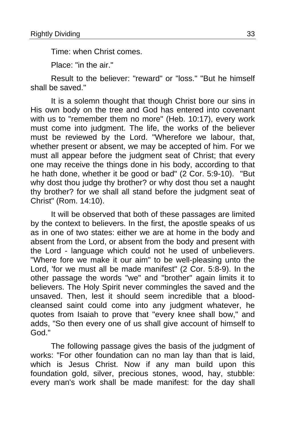Time: when Christ comes.

Place: "in the air."

Result to the believer: "reward" or "loss." "But he himself shall be saved."

It is a solemn thought that though Christ bore our sins in His own body on the tree and God has entered into covenant with us to "remember them no more" (Heb. 10:17), every work must come into judgment. The life, the works of the believer must be reviewed by the Lord. "Wherefore we labour, that, whether present or absent, we may be accepted of him. For we must all appear before the judgment seat of Christ; that every one may receive the things done in his body, according to that he hath done, whether it be good or bad" (2 Cor. 5:9-10). "But why dost thou judge thy brother? or why dost thou set a naught thy brother? for we shall all stand before the judgment seat of Christ" (Rom. 14:10).

It will be observed that both of these passages are limited by the context to believers. In the first, the apostle speaks of us as in one of two states: either we are at home in the body and absent from the Lord, or absent from the body and present with the Lord - language which could not he used of unbelievers. "Where fore we make it our aim" to be well-pleasing unto the Lord, 'for we must all be made manifest" (2 Cor. 5:8-9). In the other passage the words "we" and "brother" again limits it to believers. The Holy Spirit never commingles the saved and the unsaved. Then, lest it should seem incredible that a bloodcleansed saint could come into any judgment whatever, he quotes from Isaiah to prove that "every knee shall bow," and adds, "So then every one of us shall give account of himself to God."

The following passage gives the basis of the judgment of works: "For other foundation can no man lay than that is laid, which is Jesus Christ. Now if any man build upon this foundation gold, silver, precious stones, wood, hay, stubble: every man's work shall be made manifest: for the day shall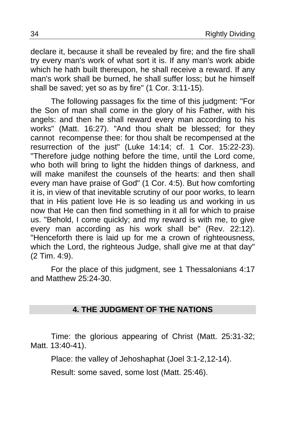declare it, because it shall be revealed by fire; and the fire shall try every man's work of what sort it is. If any man's work abide which he hath built thereupon, he shall receive a reward. If any man's work shall be burned, he shall suffer loss; but he himself shall be saved; yet so as by fire" (1 Cor. 3:11-15).

The following passages fix the time of this judgment: "For the Son of man shall come in the glory of his Father, with his angels: and then he shall reward every man according to his works" (Matt. 16:27). "And thou shalt be blessed; for they cannot recompense thee: for thou shalt be recompensed at the resurrection of the just" (Luke 14:14; cf. 1 Cor. 15:22-23). "Therefore judge nothing before the time, until the Lord come, who both will bring to light the hidden things of darkness, and will make manifest the counsels of the hearts: and then shall every man have praise of God" (1 Cor. 4:5). But how comforting it is, in view of that inevitable scrutiny of our poor works, to learn that in His patient love He is so leading us and working in us now that He can then find something in it all for which to praise us. "Behold, I come quickly; and my reward is with me, to give every man according as his work shall be" (Rev. 22:12). "Henceforth there is laid up for me a crown of righteousness, which the Lord, the righteous Judge, shall give me at that day" (2 Tim. 4:9).

For the place of this judgment, see 1 Thessalonians 4:17 and Matthew 25:24-30.

### **4. THE JUDGMENT OF THE NATIONS**

Time: the glorious appearing of Christ (Matt. 25:31-32; Matt. 13:40-41).

Place: the valley of Jehoshaphat (Joel 3:1-2,12-14).

Result: some saved, some lost (Matt. 25:46).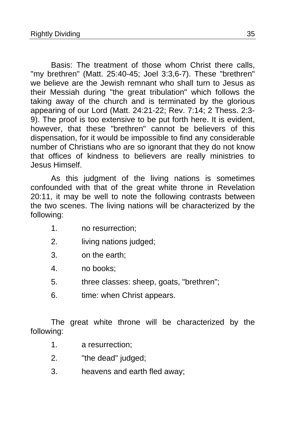Basis: The treatment of those whom Christ there calls, "my brethren" (Matt. 25:40-45; Joel 3:3,6-7). These "brethren" we believe are the Jewish remnant who shall turn to Jesus as their Messiah during "the great tribulation" which follows the taking away of the church and is terminated by the glorious appearing of our Lord (Matt. 24:21-22; Rev. 7:14; 2 Thess. 2:3- 9). The proof is too extensive to be put forth here. It is evident, however, that these "brethren" cannot be believers of this dispensation, for it would be impossible to find any considerable number of Christians who are so ignorant that they do not know that offices of kindness to believers are really ministries to Jesus Himself.

As this judgment of the living nations is sometimes confounded with that of the great white throne in Revelation 20:11, it may be well to note the following contrasts between the two scenes. The living nations will be characterized by the following:

- 1. no resurrection;
- 2. living nations judged;
- 3. on the earth;
- 4. no books;
- 5. three classes: sheep, goats, "brethren";
- 6. time: when Christ appears.

The great white throne will be characterized by the following:

- 1. a resurrection;
- 2. "the dead" judged;
- 3. heavens and earth fled away;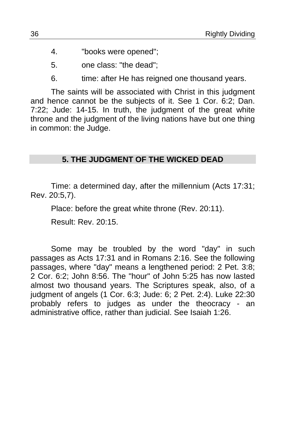- 4. "books were opened";
- 5. one class: "the dead";
- 6. time: after He has reigned one thousand years.

The saints will be associated with Christ in this judgment and hence cannot be the subjects of it. See 1 Cor. 6:2; Dan. 7:22; Jude: 14-15. In truth, the judgment of the great white throne and the judgment of the living nations have but one thing in common: the Judge.

### **5. THE JUDGMENT OF THE WICKED DEAD**

Time: a determined day, after the millennium (Acts 17:31; Rev. 20:5,7).

Place: before the great white throne (Rev. 20:11).

Result: Rev. 20:15.

Some may be troubled by the word "day" in such passages as Acts 17:31 and in Romans 2:16. See the following passages, where "day" means a lengthened period: 2 Pet. 3:8; 2 Cor. 6:2; John 8:56. The "hour" of John 5:25 has now lasted almost two thousand years. The Scriptures speak, also, of a judgment of angels (1 Cor. 6:3; Jude: 6; 2 Pet. 2:4). Luke 22:30 probably refers to judges as under the theocracy - an administrative office, rather than judicial. See Isaiah 1:26.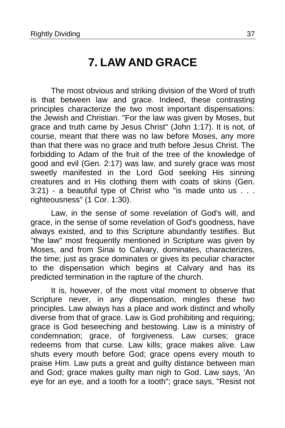### **7. LAW AND GRACE**

<span id="page-36-0"></span>The most obvious and striking division of the Word of truth is that between law and grace. Indeed, these contrasting principles characterize the two most important dispensations: the Jewish and Christian. "For the law was given by Moses, but grace and truth came by Jesus Christ" (John 1:17). It is not, of course, meant that there was no law before Moses, any more than that there was no grace and truth before Jesus Christ. The forbidding to Adam of the fruit of the tree of the knowledge of good and evil (Gen. 2:17) was law, and surely grace was most sweetly manifested in the Lord God seeking His sinning creatures and in His clothing them with coats of skins (Gen. 3:21) - a beautiful type of Christ who "is made unto us . . . righteousness" (1 Cor. 1:30).

Law, in the sense of some revelation of God's will, and grace, in the sense of some revelation of God's goodness, have always existed, and to this Scripture abundantly testifies. But "the law" most frequently mentioned in Scripture was given by Moses, and from Sinai to Calvary, dominates, characterizes, the time; just as grace dominates or gives its peculiar character to the dispensation which begins at Calvary and has its predicted termination in the rapture of the church.

It is, however, of the most vital moment to observe that Scripture never, in any dispensation, mingles these two principles. Law always has a place and work distinct and wholly diverse from that of grace. Law is God prohibiting and requiring; grace is God beseeching and bestowing. Law is a ministry of condemnation; grace, of forgiveness. Law curses; grace redeems from that curse. Law kills; grace makes alive. Law shuts every mouth before God; grace opens every mouth to praise Him. Law puts a great and guilty distance between man and God; grace makes guilty man nigh to God. Law says, 'An eye for an eye, and a tooth for a tooth"; grace says, "Resist not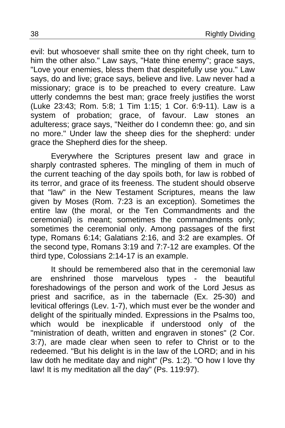evil: but whosoever shall smite thee on thy right cheek, turn to him the other also." Law says, "Hate thine enemy"; grace says, "Love your enemies, bless them that despitefully use you." Law says, do and live; grace says, believe and live. Law never had a missionary; grace is to be preached to every creature. Law utterly condemns the best man; grace freely justifies the worst (Luke 23:43; Rom. 5:8; 1 Tim 1:15; 1 Cor. 6:9-11). Law is a system of probation; grace, of favour. Law stones an adulteress; grace says, "Neither do I condemn thee: go, and sin no more." Under law the sheep dies for the shepherd: under grace the Shepherd dies for the sheep.

Everywhere the Scriptures present law and grace in sharply contrasted spheres. The mingling of them in much of the current teaching of the day spoils both, for law is robbed of its terror, and grace of its freeness. The student should observe that "law" in the New Testament Scriptures, means the law given by Moses (Rom. 7:23 is an exception). Sometimes the entire law (the moral, or the Ten Commandments and the ceremonial) is meant; sometimes the commandments only; sometimes the ceremonial only. Among passages of the first type, Romans 6:14; Galatians 2:16, and 3:2 are examples. Of the second type, Romans 3:19 and 7:7-12 are examples. Of the third type, Colossians 2:14-17 is an example.

It should be remembered also that in the ceremonial law are enshrined those marvelous types - the beautiful foreshadowings of the person and work of the Lord Jesus as priest and sacrifice, as in the tabernacle (Ex. 25-30) and levitical offerings (Lev. 1-7), which must ever be the wonder and delight of the spiritually minded. Expressions in the Psalms too, which would be inexplicable if understood only of the "ministration of death, written and engraven in stones" (2 Cor. 3:7), are made clear when seen to refer to Christ or to the redeemed. "But his delight is in the law of the LORD; and in his law doth he meditate day and night" (Ps. 1:2). "O how I love thy law! It is my meditation all the day" (Ps. 119:97).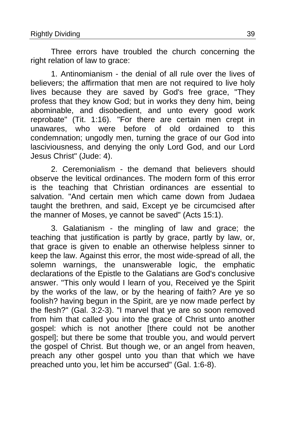Three errors have troubled the church concerning the right relation of law to grace:

1. Antinomianism - the denial of all rule over the lives of believers; the affirmation that men are not required to live holy lives because they are saved by God's free grace, "They profess that they know God; but in works they deny him, being abominable, and disobedient, and unto every good work reprobate" (Tit. 1:16)."For there are certain men crept in unawares, who were before of old ordained to this condemnation; ungodly men, turning the grace of our God into lasciviousness, and denying the only Lord God, and our Lord Jesus Christ" (Jude: 4).

2. Ceremonialism - the demand that believers should observe the levitical ordinances. The modern form of this error is the teaching that Christian ordinances are essential to salvation. "And certain men which came down from Judaea taught the brethren, and said, Except ye be circumcised after the manner of Moses, ye cannot be saved" (Acts 15:1).

3. Galatianism - the mingling of law and grace; the teaching that justification is partly by grace, partly by law, or, that grace is given to enable an otherwise helpless sinner to keep the law. Against this error, the most wide-spread of all, the solemn warnings, the unanswerable logic, the emphatic declarations of the Epistle to the Galatians are God's conclusive answer. "This only would I learn of you, Received ye the Spirit by the works of the law, or by the hearing of faith? Are ye so foolish? having begun in the Spirit, are ye now made perfect by the flesh?" (Gal. 3:2-3). "I marvel that ye are so soon removed from him that called you into the grace of Christ unto another gospel: which is not another [there could not be another gospel]; but there be some that trouble you, and would pervert the gospel of Christ. But though we, or an angel from heaven, preach any other gospel unto you than that which we have preached unto you, let him be accursed" (Gal. 1:6-8).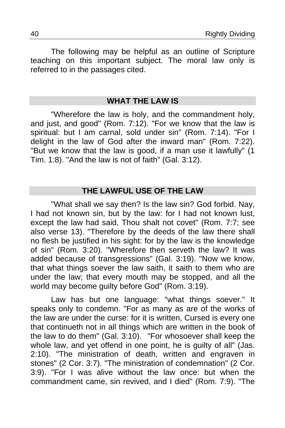The following may be helpful as an outline of Scripture teaching on this important subject. The moral law only is referred to in the passages cited.

### **WHAT THE LAW IS**

"Wherefore the law is holy, and the commandment holy, and just, and good" (Rom. 7:12). "For we know that the law is spiritual: but I am carnal, sold under sin" (Rom. 7:14). "For I delight in the law of God after the inward man" (Rom. 7:22). "But we know that the law is good, if a man use it lawfully" (1 Tim. 1:8). "And the law is not of faith" (Gal. 3:12).

### **THE LAWFUL USE OF THE LAW**

"What shall we say then? Is the law sin? God forbid. Nay, I had not known sin, but by the law: for I had not known lust, except the law had said, Thou shalt not covet" (Rom. 7:7; see also verse 13). "Therefore by the deeds of the law there shall no flesh be justified in his sight: for by the law is the knowledge of sin" (Rom. 3:20). "Wherefore then serveth the law? It was added because of transgressions" (Gal. 3:19). "Now we know, that what things soever the law saith, it saith to them who are under the law; that every mouth may be stopped, and all the world may become guilty before God" (Rom. 3:19).

Law has but one language: "what things soever." It speaks only to condemn. "For as many as are of the works of the law are under the curse: for it is written, Cursed is every one that continueth not in all things which are written in the book of the law to do them" (Gal.  $3:10$ ). "For whosoever shall keep the whole law, and yet offend in one point, he is guilty of all" (Jas. 2:10). "The ministration of death, written and engraven in stones" (2 Cor. 3:7). "The ministration of condemnation" (2 Cor. 3:9). "For I was alive without the law once: but when the commandment came, sin revived, and I died" (Rom. 7:9). "The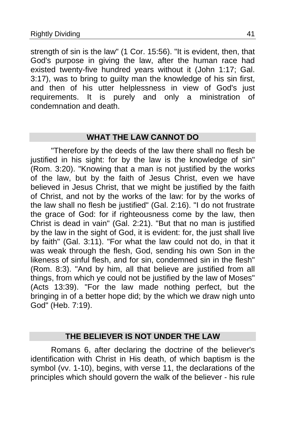strength of sin is the law" (1 Cor. 15:56). "It is evident, then, that God's purpose in giving the law, after the human race had existed twenty-five hundred years without it (John 1:17; Gal. 3:17), was to bring to guilty man the knowledge of his sin first, and then of his utter helplessness in view of God's just requirements. It is purely and only a ministration of condemnation and death.

### **WHAT THE LAW CANNOT DO**

"Therefore by the deeds of the law there shall no flesh be justified in his sight: for by the law is the knowledge of sin" (Rom. 3:20). "Knowing that a man is not justified by the works of the law, but by the faith of Jesus Christ, even we have believed in Jesus Christ, that we might be justified by the faith of Christ, and not by the works of the law: for by the works of the law shall no flesh be justified" (Gal. 2:16). "I do not frustrate the grace of God: for if righteousness come by the law, then Christ is dead in vain" (Gal. 2:21). "But that no man is justified by the law in the sight of God, it is evident: for, the just shall live by faith" (Gal. 3:11). "For what the law could not do, in that it was weak through the flesh, God, sending his own Son in the likeness of sinful flesh, and for sin, condemned sin in the flesh" (Rom. 8:3). "And by him, all that believe are justified from all things, from which ye could not be justified by the law of Moses" (Acts 13:39)."For the law made nothing perfect, but the bringing in of a better hope did; by the which we draw nigh unto God" (Heb. 7:19).

### **THE BELIEVER IS NOT UNDER THE LAW**

Romans 6, after declaring the doctrine of the believer's identification with Christ in His death, of which baptism is the symbol (vv. 1-10), begins, with verse 11, the declarations of the principles which should govern the walk of the believer - his rule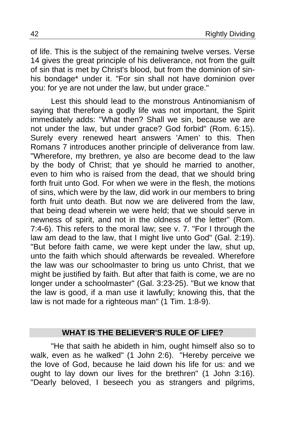of life. This is the subject of the remaining twelve verses. Verse 14 gives the great principle of his deliverance, not from the guilt of sin that is met by Christ's blood, but from the dominion of sinhis bondage\* under it. "For sin shall not have dominion over you: for ye are not under the law, but under grace."

Lest this should lead to the monstrous Antinomianism of saying that therefore a godly life was not important, the Spirit immediately adds: "What then? Shall we sin, because we are not under the law, but under grace? God forbid" (Rom. 6:15). Surely every renewed heart answers 'Amen' to this. Then Romans 7 introduces another principle of deliverance from law. "Wherefore, my brethren, ye also are become dead to the law by the body of Christ; that ye should he married to another, even to him who is raised from the dead, that we should bring forth fruit unto God. For when we were in the flesh, the motions of sins, which were by the law, did work in our members to bring forth fruit unto death. But now we are delivered from the law, that being dead wherein we were held; that we should serve in newness of spirit, and not in the oldness of the letter" (Rom. 7:4-6). This refers to the moral law; see v. 7. "For I through the law am dead to the law, that I might live unto God" (Gal. 2:19). "But before faith came, we were kept under the law, shut up, unto the faith which should afterwards be revealed. Wherefore the law was our schoolmaster to bring us unto Christ, that we might be justified by faith. But after that faith is come, we are no longer under a schoolmaster" (Gal. 3:23-25). "But we know that the law is good, if a man use it lawfully; knowing this, that the law is not made for a righteous man" (1 Tim. 1:8-9).

### **WHAT IS THE BELIEVER'S RULE OF LIFE?**

"He that saith he abideth in him, ought himself also so to walk, even as he walked" (1 John 2:6). "Hereby perceive we the love of God, because he laid down his life for us: and we ought to lay down our lives for the brethren" (1 John 3:16). "Dearly beloved, I beseech you as strangers and pilgrims,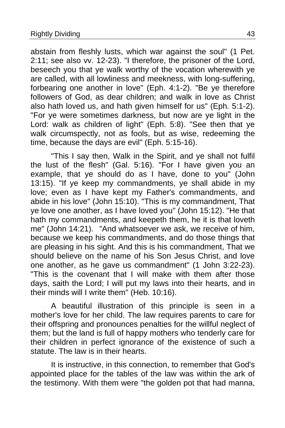abstain from fleshly lusts, which war against the soul" (1 Pet. 2:11; see also vv. 12-23). "I therefore, the prisoner of the Lord, beseech you that ye walk worthy of the vocation wherewith ye are called, with all lowliness and meekness, with long-suffering, forbearing one another in love" (Eph. 4:1-2). "Be ye therefore followers of God, as dear children; and walk in love as Christ also hath loved us, and hath given himself for us" (Eph. 5:1-2). "For ye were sometimes darkness, but now are ye light in the Lord: walk as children of light" (Eph. 5:8). "See then that ye walk circumspectly, not as fools, but as wise, redeeming the time, because the days are evil" (Eph. 5:15-16).

"This I say then, Walk in the Spirit, and ye shall not fulfil the lust of the flesh" (Gal. 5:16). "For I have given you an example, that ye should do as I have, done to you" (John 13:15). "If ye keep my commandments, ye shall abide in my love; even as I have kept my Father's commandments, and abide in his love" (John 15:10). "This is my commandment, That ye love one another, as I have loved you" (John 15:12). "He that hath my commandments, and keepeth them, he it is that loveth me" (John 14:21)."And whatsoever we ask, we receive of him, because we keep his commandments, and do those things that are pleasing in his sight. And this is his commandment, That we should believe on the name of his Son Jesus Christ, and love one another, as he gave us commandment" (1 John 3:22-23). "This is the covenant that I will make with them after those days, saith the Lord; I will put my laws into their hearts, and in their minds will I write them" (Heb. 10:16).

A beautiful illustration of this principle is seen in a mother's love for her child. The law requires parents to care for their offspring and pronounces penalties for the willful neglect of them; but the land is full of happy mothers who tenderly care for their children in perfect ignorance of the existence of such a statute. The law is in their hearts.

It is instructive, in this connection, to remember that God's appointed place for the tables of the law was within the ark of the testimony. With them were "the golden pot that had manna,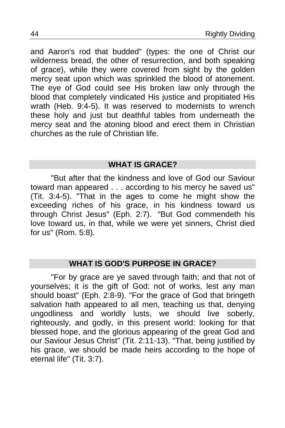and Aaron's rod that budded" (types: the one of Christ our wilderness bread, the other of resurrection, and both speaking of grace), while they were covered from sight by the golden mercy seat upon which was sprinkled the blood of atonement. The eye of God could see His broken law only through the blood that completely vindicated His justice and propitiated His wrath (Heb. 9:4-5). It was reserved to modernists to wrench these holy and just but deathful tables from underneath the mercy seat and the atoning blood and erect them in Christian churches as the rule of Christian life.

### **WHAT IS GRACE?**

"But after that the kindness and love of God our Saviour toward man appeared . . . according to his mercy he saved us" (Tit. 3:4-5). "That in the ages to come he might show the exceeding riches of his grace, in his kindness toward us through Christ Jesus" (Eph. 2:7)."But God commendeth his love toward us, in that, while we were yet sinners, Christ died for us" (Rom. 5:8).

### **WHAT IS GOD'S PURPOSE IN GRACE?**

"For by grace are ye saved through faith; and that not of yourselves; it is the gift of God: not of works, lest any man should boast" (Eph. 2:8-9). "For the grace of God that bringeth salvation hath appeared to all men, teaching us that, denying ungodliness and worldly lusts, we should live soberly, righteously, and godly, in this present world: looking for that blessed hope, and the glorious appearing of the great God and our Saviour Jesus Christ" (Tit. 2:11-13). "That, being justified by his grace, we should be made heirs according to the hope of eternal life" (Tit. 3:7).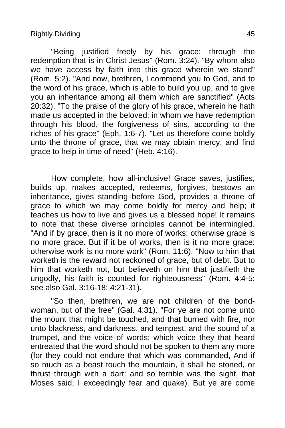"Being justified freely by his grace; through the redemption that is in Christ Jesus" (Rom. 3:24). "By whom also we have access by faith into this grace wherein we stand" (Rom. 5:2). "And now, brethren, I commend you to God, and to the word of his grace, which is able to build you up, and to give you an inheritance among all them which are sanctified" (Acts 20:32). "To the praise of the glory of his grace, wherein he hath made us accepted in the beloved: in whom we have redemption through his blood, the forgiveness of sins, according to the riches of his grace" (Eph. 1:6-7). "Let us therefore come boldly unto the throne of grace, that we may obtain mercy, and find grace to help in time of need" (Heb. 4:16).

How complete, how all-inclusive! Grace saves, justifies, builds up, makes accepted, redeems, forgives, bestows an inheritance, gives standing before God, provides a throne of grace to which we may come boldly for mercy and help; it teaches us how to live and gives us a blessed hope! It remains to note that these diverse principles cannot be intermingled. "And if by grace, then is it no more of works: otherwise grace is no more grace. But if it be of works, then is it no more grace: otherwise work is no more work" (Rom. 11:6). "Now to him that worketh is the reward not reckoned of grace, but of debt. But to him that worketh not, but believeth on him that justifieth the ungodly, his faith is counted for righteousness" (Rom. 4:4-5; see also Gal. 3:16-18; 4:21-31).

"So then, brethren, we are not children of the bondwoman, but of the free" (Gal. 4:31). "For ye are not come unto the mount that might be touched, and that burned with fire, nor unto blackness, and darkness, and tempest, and the sound of a trumpet, and the voice of words: which voice they that heard entreated that the word should not be spoken to them any more (for they could not endure that which was commanded, And if so much as a beast touch the mountain, it shall he stoned, or thrust through with a dart: and so terrible was the sight, that Moses said, I exceedingly fear and quake). But ye are come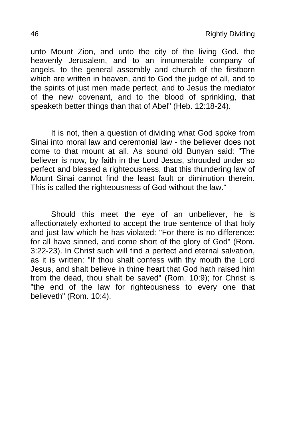unto Mount Zion, and unto the city of the living God, the heavenly Jerusalem, and to an innumerable company of angels, to the general assembly and church of the firstborn which are written in heaven, and to God the judge of all, and to the spirits of just men made perfect, and to Jesus the mediator of the new covenant, and to the blood of sprinkling, that speaketh better things than that of Abel" (Heb. 12:18-24).

It is not, then a question of dividing what God spoke from Sinai into moral law and ceremonial law - the believer does not come to that mount at all. As sound old Bunyan said: "The believer is now, by faith in the Lord Jesus, shrouded under so perfect and blessed a righteousness, that this thundering law of Mount Sinai cannot find the least fault or diminution therein. This is called the righteousness of God without the law."

Should this meet the eye of an unbeliever, he is affectionately exhorted to accept the true sentence of that holy and just law which he has violated: "For there is no difference: for all have sinned, and come short of the glory of God" (Rom. 3:22-23). In Christ such will find a perfect and eternal salvation, as it is written: "If thou shalt confess with thy mouth the Lord Jesus, and shalt believe in thine heart that God hath raised him from the dead, thou shalt be saved" (Rom. 10:9); for Christ is "the end of the law for righteousness to every one that believeth" (Rom. 10:4).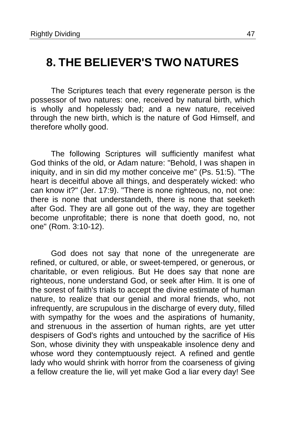### <span id="page-46-0"></span>**8. THE BELIEVER'S TWO NATURES**

The Scriptures teach that every regenerate person is the possessor of two natures: one, received by natural birth, which is wholly and hopelessly bad; and a new nature, received through the new birth, which is the nature of God Himself, and therefore wholly good.

The following Scriptures will sufficiently manifest what God thinks of the old, or Adam nature: "Behold, I was shapen in iniquity, and in sin did my mother conceive me" (Ps. 51:5). "The heart is deceitful above all things, and desperately wicked: who can know it?" (Jer. 17:9). "There is none righteous, no, not one: there is none that understandeth, there is none that seeketh after God. They are all gone out of the way, they are together become unprofitable; there is none that doeth good, no, not one" (Rom. 3:10-12).

God does not say that none of the unregenerate are refined, or cultured, or able, or sweet-tempered, or generous, or charitable, or even religious. But He does say that none are righteous, none understand God, or seek after Him. It is one of the sorest of faith's trials to accept the divine estimate of human nature, to realize that our genial and moral friends, who, not infrequently, are scrupulous in the discharge of every duty, filled with sympathy for the woes and the aspirations of humanity, and strenuous in the assertion of human rights, are yet utter despisers of God's rights and untouched by the sacrifice of His Son, whose divinity they with unspeakable insolence deny and whose word they contemptuously reject. A refined and gentle lady who would shrink with horror from the coarseness of giving a fellow creature the lie, will yet make God a liar every day! See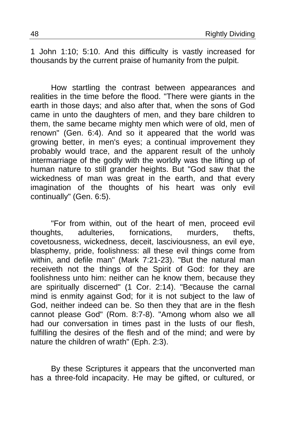1 John 1:10; 5:10. And this difficulty is vastly increased for thousands by the current praise of humanity from the pulpit.

How startling the contrast between appearances and realities in the time before the flood. "There were giants in the earth in those days; and also after that, when the sons of God came in unto the daughters of men, and they bare children to them, the same became mighty men which were of old, men of renown" (Gen. 6:4). And so it appeared that the world was growing better, in men's eyes; a continual improvement they probably would trace, and the apparent result of the unholy intermarriage of the godly with the worldly was the lifting up of human nature to still grander heights. But "God saw that the wickedness of man was great in the earth, and that every imagination of the thoughts of his heart was only evil continually" (Gen. 6:5).

"For from within, out of the heart of men, proceed evil thoughts, adulteries, fornications, murders, thefts, covetousness, wickedness, deceit, lasciviousness, an evil eye, blasphemy, pride, foolishness: all these evil things come from within, and defile man" (Mark 7:21-23). "But the natural man receiveth not the things of the Spirit of God: for they are foolishness unto him: neither can he know them, because they are spiritually discerned" (1 Cor. 2:14). "Because the carnal mind is enmity against God; for it is not subject to the law of God, neither indeed can be. So then they that are in the flesh cannot please God" (Rom. 8:7-8). "Among whom also we all had our conversation in times past in the lusts of our flesh, fulfilling the desires of the flesh and of the mind; and were by nature the children of wrath" (Eph. 2:3).

By these Scriptures it appears that the unconverted man has a three-fold incapacity. He may be gifted, or cultured, or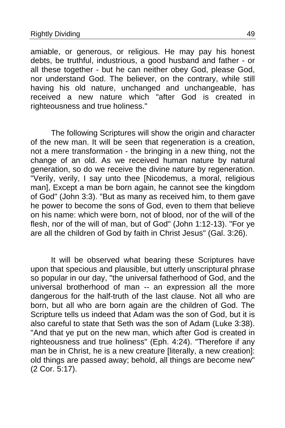amiable, or generous, or religious. He may pay his honest debts, be truthful, industrious, a good husband and father - or all these together - but he can neither obey God, please God, nor understand God. The believer, on the contrary, while still having his old nature, unchanged and unchangeable, has received a new nature which "after God is created in righteousness and true holiness."

The following Scriptures will show the origin and character of the new man. It will be seen that regeneration is a creation, not a mere transformation - the bringing in a new thing, not the change of an old. As we received human nature by natural generation, so do we receive the divine nature by regeneration. "Verily, verily, I say unto thee [Nicodemus, a moral, religious man], Except a man be born again, he cannot see the kingdom of God" (John 3:3). "But as many as received him, to them gave he power to become the sons of God, even to them that believe on his name: which were born, not of blood, nor of the will of the flesh, nor of the will of man, but of God" (John 1:12-13). "For ye are all the children of God by faith in Christ Jesus" (Gal. 3:26).

It will be observed what bearing these Scriptures have upon that specious and plausible, but utterly unscriptural phrase so popular in our day, "the universal fatherhood of God, and the universal brotherhood of man -- an expression all the more dangerous for the half-truth of the last clause. Not all who are born, but all who are born again are the children of God. The Scripture tells us indeed that Adam was the son of God, but it is also careful to state that Seth was the son of Adam (Luke 3:38). "And that ye put on the new man, which after God is created in righteousness and true holiness" (Eph. 4:24). "Therefore if any man be in Christ, he is a new creature [literally, a new creation]: old things are passed away; behold, all things are become new" (2 Cor. 5:17).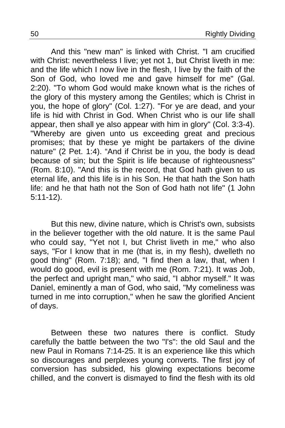And this "new man" is linked with Christ. "I am crucified with Christ: nevertheless I live; yet not 1, but Christ liveth in me: and the life which I now live in the flesh, I live by the faith of the Son of God, who loved me and gave himself for me" (Gal. 2:20). "To whom God would make known what is the riches of the glory of this mystery among the Gentiles; which is Christ in you, the hope of glory" (Col. 1:27). "For ye are dead, and your life is hid with Christ in God. When Christ who is our life shall appear, then shall ye also appear with him in glory" (Col. 3:3-4). "Whereby are given unto us exceeding great and precious promises; that by these ye might be partakers of the divine nature" (2 Pet. 1:4). "And if Christ be in you, the body is dead because of sin; but the Spirit is life because of righteousness" (Rom. 8:10). "And this is the record, that God hath given to us eternal life, and this life is in his Son. He that hath the Son hath life: and he that hath not the Son of God hath not life" (1 John 5:11-12).

But this new, divine nature, which is Christ's own, subsists in the believer together with the old nature. It is the same Paul who could say, "Yet not I, but Christ liveth in me," who also says, "For I know that in me (that is, in my flesh), dwelleth no good thing" (Rom. 7:18); and, "I find then a law, that, when I would do good, evil is present with me (Rom. 7:21). It was Job, the perfect and upright man," who said, "I abhor myself." It was Daniel, eminently a man of God, who said, "My comeliness was turned in me into corruption," when he saw the glorified Ancient of days.

Between these two natures there is conflict. Study carefully the battle between the two "I's": the old Saul and the new Paul in Romans 7:14-25. It is an experience like this which so discourages and perplexes young converts. The first joy of conversion has subsided, his glowing expectations become chilled, and the convert is dismayed to find the flesh with its old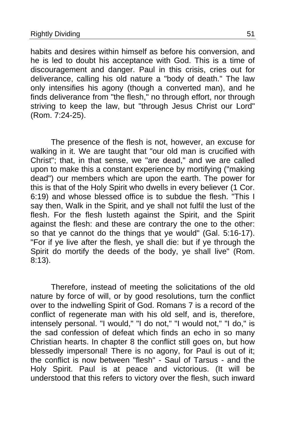habits and desires within himself as before his conversion, and he is led to doubt his acceptance with God. This is a time of discouragement and danger. Paul in this crisis, cries out for deliverance, calling his old nature a "body of death." The law only intensifies his agony (though a converted man), and he finds deliverance from "the flesh," no through effort, nor through striving to keep the law, but "through Jesus Christ our Lord" (Rom. 7:24-25).

The presence of the flesh is not, however, an excuse for walking in it. We are taught that "our old man is crucified with Christ"; that, in that sense, we "are dead," and we are called upon to make this a constant experience by mortifying ("making dead") our members which are upon the earth. The power for this is that of the Holy Spirit who dwells in every believer (1 Cor. 6:19) and whose blessed office is to subdue the flesh. "This I say then, Walk in the Spirit, and ye shall not fulfil the lust of the flesh. For the flesh lusteth against the Spirit, and the Spirit against the flesh: and these are contrary the one to the other: so that ye cannot do the things that ye would" (Gal. 5:16-17). "For if ye live after the flesh, ye shall die: but if ye through the Spirit do mortify the deeds of the body, ye shall live" (Rom. 8:13).

Therefore, instead of meeting the solicitations of the old nature by force of will, or by good resolutions, turn the conflict over to the indwelling Spirit of God. Romans 7 is a record of the conflict of regenerate man with his old self, and is, therefore, intensely personal. "I would," "I do not," "I would not," "I do," is the sad confession of defeat which finds an echo in so many Christian hearts. In chapter 8 the conflict still goes on, but how blessedly impersonal! There is no agony, for Paul is out of it; the conflict is now between "flesh" - Saul of Tarsus - and the Holy Spirit. Paul is at peace and victorious. (It will be understood that this refers to victory over the flesh, such inward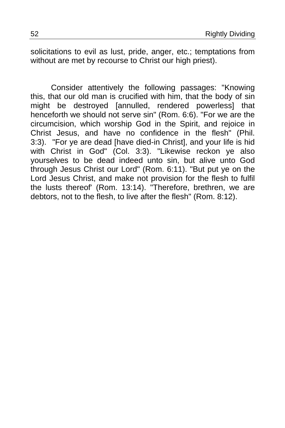solicitations to evil as lust, pride, anger, etc.; temptations from without are met by recourse to Christ our high priest).

Consider attentively the following passages: "Knowing this, that our old man is crucified with him, that the body of sin might be destroyed [annulled, rendered powerless] that henceforth we should not serve sin" (Rom. 6:6). "For we are the circumcision, which worship God in the Spirit, and rejoice in Christ Jesus, and have no confidence in the flesh" (Phil. 3:3)."For ye are dead [have died-in Christ], and your life is hid with Christ in God" (Col. 3:3). "Likewise reckon ye also yourselves to be dead indeed unto sin, but alive unto God through Jesus Christ our Lord" (Rom. 6:11). "But put ye on the Lord Jesus Christ, and make not provision for the flesh to fulfil the lusts thereof' (Rom. 13:14). "Therefore, brethren, we are debtors, not to the flesh, to live after the flesh" (Rom. 8:12).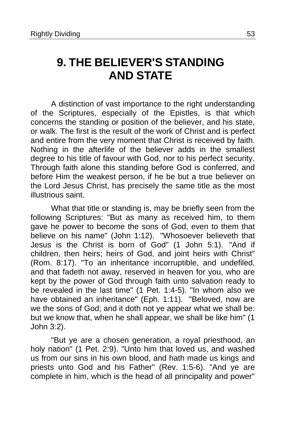# <span id="page-52-0"></span>**9. THE BELIEVER'S STANDING AND STATE**

A distinction of vast importance to the right understanding of the Scriptures, especially of the Epistles, is that which concerns the standing or position of the believer, and his state, or walk. The first is the result of the work of Christ and is perfect and entire from the very moment that Christ is received by faith. Nothing in the afterlife of the believer adds in the smallest degree to his title of favour with God, nor to his perfect security. Through faith alone this standing before God is conferred, and before Him the weakest person, if he be but a true believer on the Lord Jesus Christ, has precisely the same title as the most illustrious saint.

What that title or standing is, may be briefly seen from the following Scriptures: "But as many as received him, to them gave he power to become the sons of God, even to them that believe on his name" (John 1:12). "Whosoever believeth that Jesus is the Christ is born of God" (1 John 5:1)."And if children, then heirs; heirs of God, and joint heirs with Christ" (Rom. 8:17). "To an inheritance incorruptible, and undefiled, and that fadeth not away, reserved in heaven for you, who are kept by the power of God through faith unto salvation ready to be revealed in the last time" (1 Pet. 1:4-5). "In whom also we have obtained an inheritance" (Eph. 1:11). "Beloved, now are we the sons of God; and it doth not ye appear what we shall be: but we know that, when he shall appear, we shall be like him" (1 John 3:2).

"But ye are a chosen generation, a royal priesthood, an holy nation" (1 Pet. 2:9). "Unto him that loved us, and washed us from our sins in his own blood, and hath made us kings and priests unto God and his Father" (Rev. 1:5-6). "And ye are complete in him, which is the head of all principality and power"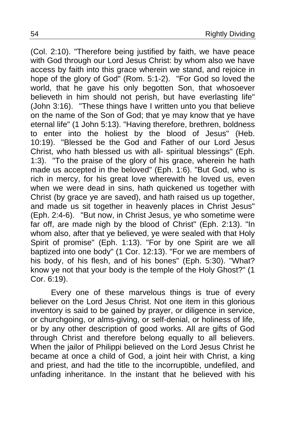(Col. 2:10). "Therefore being justified by faith, we have peace with God through our Lord Jesus Christ: by whom also we have access by faith into this grace wherein we stand, and rejoice in hope of the glory of God" (Rom. 5:1-2). "For God so loved the world, that he gave his only begotten Son, that whosoever believeth in him should not perish, but have everlasting life" (John 3:16)."These things have I written unto you that believe on the name of the Son of God; that ye may know that ye have eternal life" (1 John 5:13). "Having therefore, brethren, boldness to enter into the holiest by the blood of Jesus" (Heb. 10:19)."Blessed be the God and Father of our Lord Jesus Christ, who hath blessed us with all- spiritual blessings" (Eph. 1:3)."To the praise of the glory of his grace, wherein he hath made us accepted in the beloved" (Eph. 1:6). "But God, who is rich in mercy, for his great love wherewith he loved us, even when we were dead in sins, hath quickened us together with Christ (by grace ye are saved), and hath raised us up together, and made us sit together in heavenly places in Christ Jesus" (Eph. 2:4-6)."But now, in Christ Jesus, ye who sometime were far off, are made nigh by the blood of Christ" (Eph. 2:13). "In whom also, after that ye believed, ye were sealed with that Holy Spirit of promise" (Eph. 1:13). "For by one Spirit are we all baptized into one body" (1 Cor. 12:13). "For we are members of his body, of his flesh, and of his bones" (Eph. 5:30). "What? know ye not that your body is the temple of the Holy Ghost?" (1 Cor. 6:19).

Every one of these marvelous things is true of every believer on the Lord Jesus Christ. Not one item in this glorious inventory is said to be gained by prayer, or diligence in service, or churchgoing, or alms-giving, or self-denial, or holiness of life, or by any other description of good works. All are gifts of God through Christ and therefore belong equally to all believers. When the jailor of Philippi believed on the Lord Jesus Christ he became at once a child of God, a joint heir with Christ, a king and priest, and had the title to the incorruptible, undefiled, and unfading inheritance. In the instant that he believed with his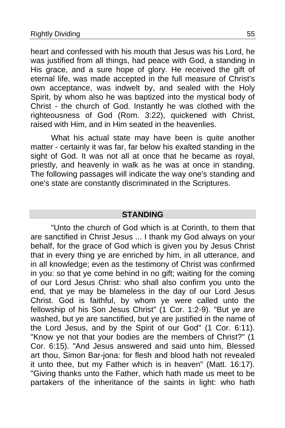heart and confessed with his mouth that Jesus was his Lord, he was justified from all things, had peace with God, a standing in His grace, and a sure hope of glory. He received the gift of eternal life, was made accepted in the full measure of Christ's own acceptance, was indwelt by, and sealed with the Holy Spirit, by whom also he was baptized into the mystical body of Christ - the church of God. Instantly he was clothed with the righteousness of God (Rom. 3:22), quickened with Christ, raised with Him, and in Him seated in the heavenlies.

What his actual state may have been is quite another matter - certainly it was far, far below his exalted standing in the sight of God. It was not all at once that he became as royal, priestly, and heavenly in walk as he was at once in standing. The following passages will indicate the way one's standing and one's state are constantly discriminated in the Scriptures.

#### **STANDING**

"Unto the church of God which is at Corinth, to them that are sanctified in Christ Jesus ... I thank my God always on your behalf, for the grace of God which is given you by Jesus Christ that in every thing ye are enriched by him, in all utterance, and in all knowledge; even as the testimony of Christ was confirmed in you: so that ye come behind in no gift; waiting for the coming of our Lord Jesus Christ: who shall also confirm you unto the end, that ye may be blameless in the day of our Lord Jesus Christ. God is faithful, by whom ye were called unto the fellowship of his Son Jesus Christ" (1 Cor. 1:2-9). "But ye are washed, but ye are sanctified, but ye are justified in the name of the Lord Jesus, and by the Spirit of our God" (1 Cor. 6:11). "Know ye not that your bodies are the members of Christ?" (1 Cor. 6:15). "And Jesus answered and said unto him, Blessed art thou, Simon Bar-jona: for flesh and blood hath not revealed it unto thee, but my Father which is in heaven" (Matt. 16:17). "Giving thanks unto the Father, which hath made us meet to be partakers of the inheritance of the saints in light: who hath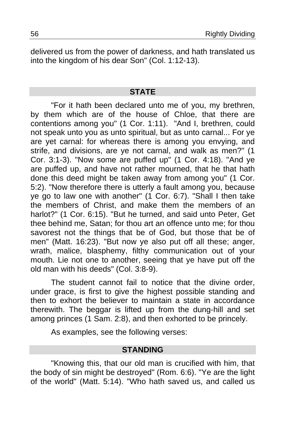delivered us from the power of darkness, and hath translated us into the kingdom of his dear Son" (Col. 1:12-13).

#### **STATE**

"For it hath been declared unto me of you, my brethren, by them which are of the house of Chloe, that there are contentions among you" (1 Cor. 1:11)."And I, brethren, could not speak unto you as unto spiritual, but as unto carnal... For ye are yet carnal: for whereas there is among you envying, and strife, and divisions, are ye not carnal, and walk as men?" (1 Cor. 3:1-3). "Now some are puffed up" (1 Cor. 4:18). "And ye are puffed up, and have not rather mourned, that he that hath done this deed might be taken away from among you" (1 Cor. 5:2). "Now therefore there is utterly a fault among you, because ye go to law one with another" (1 Cor. 6:7). "Shall I then take the members of Christ, and make them the members of an harlot?" (1 Cor. 6:15). "But he turned, and said unto Peter, Get thee behind me, Satan; for thou art an offence unto me; for thou savorest not the things that be of God, but those that be of men" (Matt. 16:23). "But now ye also put off all these; anger, wrath, malice, blasphemy, filthy communication out of your mouth. Lie not one to another, seeing that ye have put off the old man with his deeds" (Col. 3:8-9).

The student cannot fail to notice that the divine order, under grace, is first to give the highest possible standing and then to exhort the believer to maintain a state in accordance therewith. The beggar is lifted up from the dung-hill and set among princes (1 Sam. 2:8), and then exhorted to be princely.

As examples, see the following verses:

#### **STANDING**

"Knowing this, that our old man is crucified with him, that the body of sin might be destroyed" (Rom. 6:6). "Ye are the light of the world" (Matt. 5:14). "Who hath saved us, and called us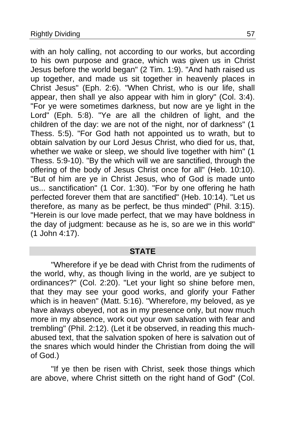with an holy calling, not according to our works, but according to his own purpose and grace, which was given us in Christ Jesus before the world began" (2 Tim. 1:9). "And hath raised us up together, and made us sit together in heavenly places in Christ Jesus" (Eph. 2:6). "When Christ, who is our life, shall appear, then shall ye also appear with him in glory" (Col. 3:4). "For ye were sometimes darkness, but now are ye light in the Lord" (Eph. 5:8). "Ye are all the children of light, and the children of the day: we are not of the night, nor of darkness" (1 Thess. 5:5). "For God hath not appointed us to wrath, but to obtain salvation by our Lord Jesus Christ, who died for us, that, whether we wake or sleep, we should live together with him" (1 Thess. 5:9-10). "By the which will we are sanctified, through the offering of the body of Jesus Christ once for all" (Heb. 10:10). "But of him are ye in Christ Jesus, who of God is made unto us... sanctification" (1 Cor. 1:30). "For by one offering he hath perfected forever them that are sanctified" (Heb. 10:14). "Let us therefore, as many as be perfect, be thus minded" (Phil. 3:15). "Herein is our love made perfect, that we may have boldness in the day of judgment: because as he is, so are we in this world" (1 John 4:17).

### **STATE**

"Wherefore if ye be dead with Christ from the rudiments of the world, why, as though living in the world, are ye subject to ordinances?" (Col. 2:20). "Let your light so shine before men, that they may see your good works, and glorify your Father which is in heaven" (Matt. 5:16). "Wherefore, my beloved, as ye have always obeyed, not as in my presence only, but now much more in my absence, work out your own salvation with fear and trembling" (Phil. 2:12). (Let it be observed, in reading this muchabused text, that the salvation spoken of here is salvation out of the snares which would hinder the Christian from doing the will of God.)

"If ye then be risen with Christ, seek those things which are above, where Christ sitteth on the right hand of God" (Col.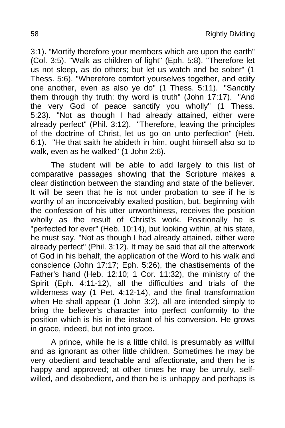3:1). "Mortify therefore your members which are upon the earth" (Col. 3:5). "Walk as children of light" (Eph. 5:8). "Therefore let us not sleep, as do others; but let us watch and be sober" (1 Thess. 5:6). "Wherefore comfort yourselves together, and edify one another, even as also ye do" (1 Thess. 5:11)."Sanctify them through thy truth: thy word is truth" (John 17:17). "And the very God of peace sanctify you wholly" (1 Thess. 5:23)."Not as though I had already attained, either were already perfect" (Phil. 3:12). "Therefore, leaving the principles of the doctrine of Christ, let us go on unto perfection" (Heb. 6:1)."He that saith he abideth in him, ought himself also so to walk, even as he walked" (1 John 2:6).

The student will be able to add largely to this list of comparative passages showing that the Scripture makes a clear distinction between the standing and state of the believer. It will be seen that he is not under probation to see if he is worthy of an inconceivably exalted position, but, beginning with the confession of his utter unworthiness, receives the position wholly as the result of Christ's work. Positionally he is "perfected for ever" (Heb. 10:14), but looking within, at his state, he must say, "Not as though I had already attained, either were already perfect" (Phil. 3:12). It may be said that all the afterwork of God in his behalf, the application of the Word to his walk and conscience (John 17:17; Eph. 5:26), the chastisements of the Father's hand (Heb. 12:10; 1 Cor. 11:32), the ministry of the Spirit (Eph. 4:11-12), all the difficulties and trials of the wilderness way (1 Pet. 4:12-14), and the final transformation when He shall appear (1 John 3:2), all are intended simply to bring the believer's character into perfect conformity to the position which is his in the instant of his conversion. He grows in grace, indeed, but not into grace.

A prince, while he is a little child, is presumably as willful and as ignorant as other little children. Sometimes he may be very obedient and teachable and affectionate, and then he is happy and approved; at other times he may be unruly, selfwilled, and disobedient, and then he is unhappy and perhaps is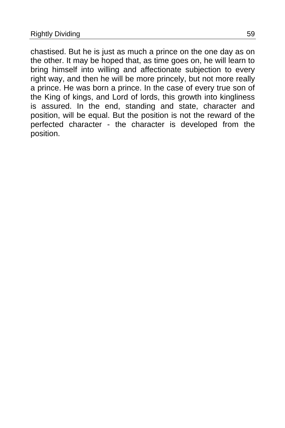chastised. But he is just as much a prince on the one day as on the other. It may be hoped that, as time goes on, he will learn to bring himself into willing and affectionate subjection to every right way, and then he will be more princely, but not more really a prince. He was born a prince. In the case of every true son of the King of kings, and Lord of lords, this growth into kingliness is assured. In the end, standing and state, character and position, will be equal. But the position is not the reward of the perfected character - the character is developed from the position.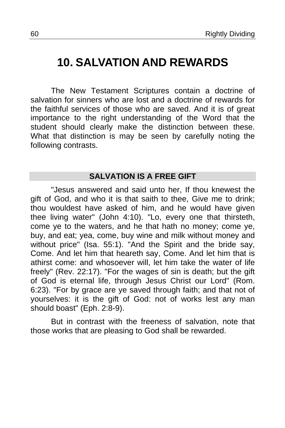# <span id="page-59-0"></span>**10. SALVATION AND REWARDS**

The New Testament Scriptures contain a doctrine of salvation for sinners who are lost and a doctrine of rewards for the faithful services of those who are saved. And it is of great importance to the right understanding of the Word that the student should clearly make the distinction between these. What that distinction is may be seen by carefully noting the following contrasts.

### **SALVATION IS A FREE GIFT**

"Jesus answered and said unto her, If thou knewest the gift of God, and who it is that saith to thee, Give me to drink; thou wouldest have asked of him, and he would have given thee living water" (John 4:10). "Lo, every one that thirsteth, come ye to the waters, and he that hath no money; come ye, buy, and eat; yea, come, buy wine and milk without money and without price" (Isa. 55:1). "And the Spirit and the bride say, Come. And let him that heareth say, Come. And let him that is athirst come: and whosoever will, let him take the water of life freely" (Rev. 22:17). "For the wages of sin is death; but the gift of God is eternal life, through Jesus Christ our Lord" (Rom. 6:23). "For by grace are ye saved through faith; and that not of yourselves: it is the gift of God: not of works lest any man should boast" (Eph. 2:8-9).

But in contrast with the freeness of salvation, note that those works that are pleasing to God shall be rewarded.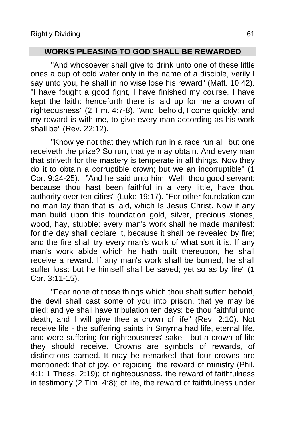### **WORKS PLEASING TO GOD SHALL BE REWARDED**

"And whosoever shall give to drink unto one of these little ones a cup of cold water only in the name of a disciple, verily I say unto you, he shall in no wise lose his reward" (Matt. 10:42). "I have fought a good fight, I have finished my course, I have kept the faith: henceforth there is laid up for me a crown of righteousness" (2 Tim. 4:7-8). "And, behold, I come quickly; and my reward is with me, to give every man according as his work shall be" (Rev. 22:12).

"Know ye not that they which run in a race run all, but one receiveth the prize? So run, that ye may obtain. And every man that striveth for the mastery is temperate in all things. Now they do it to obtain a corruptible crown; but we an incorruptible" (1 Cor. 9:24-25)."And he said unto him, Well, thou good servant: because thou hast been faithful in a very little, have thou authority over ten cities" (Luke 19:17). "For other foundation can no man lay than that is laid, which Is Jesus Christ. Now if any man build upon this foundation gold, silver, precious stones, wood, hay, stubble; every man's work shall he made manifest: for the day shall declare it, because it shall be revealed by fire; and the fire shall try every man's work of what sort it is. If any man's work abide which he hath built thereupon, he shall receive a reward. If any man's work shall be burned, he shall suffer loss: but he himself shall be saved; yet so as by fire" (1 Cor. 3:11-15).

"Fear none of those things which thou shalt suffer: behold, the devil shall cast some of you into prison, that ye may be tried; and ye shall have tribulation ten days: be thou faithful unto death, and I will give thee a crown of life" (Rev. 2:10). Not receive life - the suffering saints in Smyrna had life, eternal life, and were suffering for righteousness' sake - but a crown of life they should receive. Crowns are symbols of rewards, of distinctions earned. It may be remarked that four crowns are mentioned: that of joy, or rejoicing, the reward of ministry (Phil. 4:1; 1 Thess. 2:19); of righteousness, the reward of faithfulness in testimony (2 Tim. 4:8); of life, the reward of faithfulness under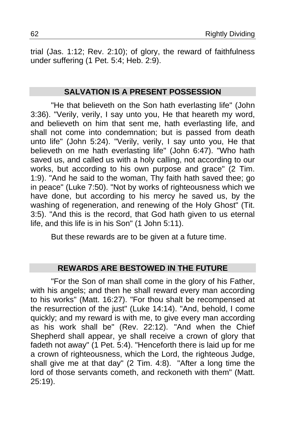trial (Jas. 1:12; Rev. 2:10); of glory, the reward of faithfulness under suffering (1 Pet. 5:4; Heb. 2:9).

### **SALVATION IS A PRESENT POSSESSION**

"He that believeth on the Son hath everlasting life" (John 3:36). "Verily, verily, I say unto you, He that heareth my word, and believeth on him that sent me, hath everlasting life, and shall not come into condemnation; but is passed from death unto life" (John 5:24). "Verily, verily, I say unto you, He that believeth on me hath everlasting life" (John 6:47). "Who hath saved us, and called us with a holy calling, not according to our works, but according to his own purpose and grace" (2 Tim. 1:9). "And he said to the woman, Thy faith hath saved thee; go in peace" (Luke 7:50). "Not by works of righteousness which we have done, but according to his mercy he saved us, by the washing of regeneration, and renewing of the Holy Ghost" (Tit. 3:5). "And this is the record, that God hath given to us eternal life, and this life is in his Son" (1 John 5:11).

But these rewards are to be given at a future time.

### **REWARDS ARE BESTOWED IN THE FUTURE**

"For the Son of man shall come in the glory of his Father, with his angels; and then he shall reward every man according to his works" (Matt. 16:27). "For thou shalt be recompensed at the resurrection of the just" (Luke 14:14). "And, behold, I come quickly; and my reward is with me, to give every man according as his work shall be" (Rev. 22:12)."And when the Chief Shepherd shall appear, ye shall receive a crown of glory that fadeth not away" (1 Pet. 5:4). "Henceforth there is laid up for me a crown of righteousness, which the Lord, the righteous Judge, shall give me at that day" (2 Tim. 4:8). "After a long time the lord of those servants cometh, and reckoneth with them" (Matt. 25:19).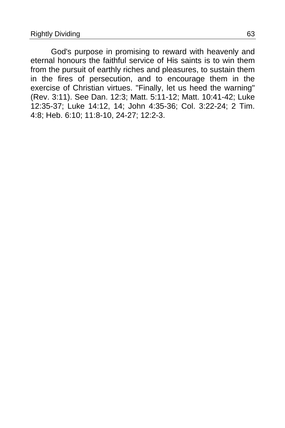God's purpose in promising to reward with heavenly and eternal honours the faithful service of His saints is to win them from the pursuit of earthly riches and pleasures, to sustain them in the fires of persecution, and to encourage them in the exercise of Christian virtues. "Finally, let us heed the warning" (Rev. 3:11). See Dan. 12:3; Matt. 5:11-12; Matt. 10:41-42; Luke 12:35-37; Luke 14:12, 14; John 4:35-36; Col. 3:22-24; 2 Tim. 4:8; Heb. 6:10; 11:8-10, 24-27; 12:2-3.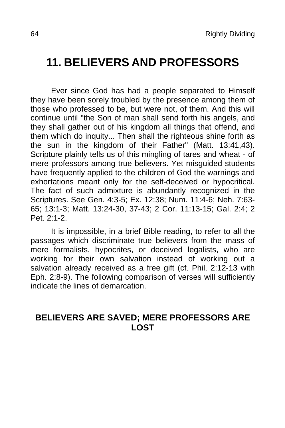### <span id="page-63-0"></span>**11. BELIEVERS AND PROFESSORS**

Ever since God has had a people separated to Himself they have been sorely troubled by the presence among them of those who professed to be, but were not, of them. And this will continue until "the Son of man shall send forth his angels, and they shall gather out of his kingdom all things that offend, and them which do inquity... Then shall the righteous shine forth as the sun in the kingdom of their Father" (Matt. 13:41,43). Scripture plainly tells us of this mingling of tares and wheat - of mere professors among true believers. Yet misguided students have frequently applied to the children of God the warnings and exhortations meant only for the self-deceived or hypocritical. The fact of such admixture is abundantly recognized in the Scriptures. See Gen. 4:3-5; Ex. 12:38; Num. 11:4-6; Neh. 7:63- 65; 13:1-3; Matt. 13:24-30, 37-43; 2 Cor. 11:13-15; Gal. 2:4; 2 Pet. 2:1-2.

It is impossible, in a brief Bible reading, to refer to all the passages which discriminate true believers from the mass of mere formalists, hypocrites, or deceived legalists, who are working for their own salvation instead of working out a salvation already received as a free gift (cf. Phil. 2:12-13 with Eph. 2:8-9). The following comparison of verses will sufficiently indicate the lines of demarcation.

### **BELIEVERS ARE SAVED; MERE PROFESSORS ARE LOST**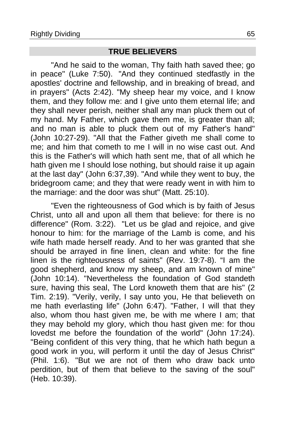### **TRUE BELIEVERS**

"And he said to the woman, Thy faith hath saved thee; go in peace" (Luke 7:50)."And they continued stedfastly in the apostles' doctrine and fellowship, and in breaking of bread, and in prayers" (Acts 2:42). "My sheep hear my voice, and I know them, and they follow me: and I give unto them eternal life; and they shall never perish, neither shall any man pluck them out of my hand. My Father, which gave them me, is greater than all; and no man is able to pluck them out of my Father's hand" (John 10:27-29). "All that the Father giveth me shall come to me; and him that cometh to me I will in no wise cast out. And this is the Father's will which hath sent me, that of all which he hath given me I should lose nothing, but should raise it up again at the last day" (John 6:37,39). "And while they went to buy, the bridegroom came; and they that were ready went in with him to the marriage: and the door was shut" (Matt. 25:10).

"Even the righteousness of God which is by faith of Jesus Christ, unto all and upon all them that believe: for there is no difference" (Rom. 3:22). "Let us be glad and rejoice, and give honour to him: for the marriage of the Lamb is come, and his wife hath made herself ready. And to her was granted that she should be arrayed in fine linen, clean and white: for the fine linen is the righteousness of saints" (Rev. 19:7-8). "I am the good shepherd, and know my sheep, and am known of mine" (John 10:14). "Nevertheless the foundation of God standeth sure, having this seal, The Lord knoweth them that are his" (2 Tim. 2:19). "Verily, verily, I say unto you, He that believeth on me hath everlasting life" (John 6:47). "Father, I will that they also, whom thou hast given me, be with me where I am; that they may behold my glory, which thou hast given me: for thou lovedst me before the foundation of the world" (John 17:24). "Being confident of this very thing, that he which hath begun a good work in you, will perform it until the day of Jesus Christ" (Phil. 1:6)."But we are not of them who draw back unto perdition, but of them that believe to the saving of the soul" (Heb. 10:39).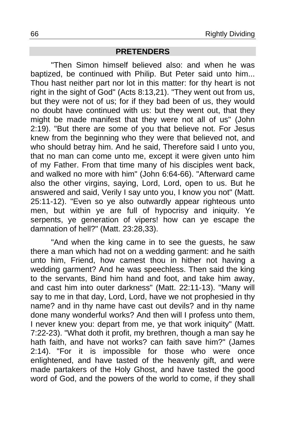#### **PRETENDERS**

"Then Simon himself believed also: and when he was baptized, be continued with Philip. But Peter said unto him... Thou hast neither part nor lot in this matter: for thy heart is not right in the sight of God" (Acts 8:13,21). "They went out from us, but they were not of us; for if they bad been of us, they would no doubt have continued with us: but they went out, that they might be made manifest that they were not all of us" (John 2:19). "But there are some of you that believe not. For Jesus knew from the beginning who they were that believed not, and who should betray him. And he said. Therefore said I unto you, that no man can come unto me, except it were given unto him of my Father. From that time many of his disciples went back, and walked no more with him" (John 6:64-66). "Afterward came also the other virgins, saying, Lord, Lord, open to us. But he answered and said, Verily I say unto you, I know you not" (Matt. 25:11-12). "Even so ye also outwardly appear righteous unto men, but within ye are full of hypocrisy and iniquity. Ye serpents, ye generation of vipers! how can ye escape the damnation of hell?" (Matt. 23:28,33).

"And when the king came in to see the guests, he saw there a man which had not on a wedding garment: and he saith unto him, Friend, how camest thou in hither not having a wedding garment? And he was speechless. Then said the king to the servants, Bind him hand and foot, and take him away, and cast him into outer darkness" (Matt. 22:11-13). "Many will say to me in that day, Lord, Lord, have we not prophesied in thy name? and in thy name have cast out devils? and in thy name done many wonderful works? And then will I profess unto them, I never knew you: depart from me, ye that work iniquity" (Matt. 7:22-23). "What doth it profit, my brethren, though a man say he hath faith, and have not works? can faith save him?" (James 2:14)."For it is impossible for those who were once enlightened, and have tasted of the heavenly gift, and were made partakers of the Holy Ghost, and have tasted the good word of God, and the powers of the world to come, if they shall